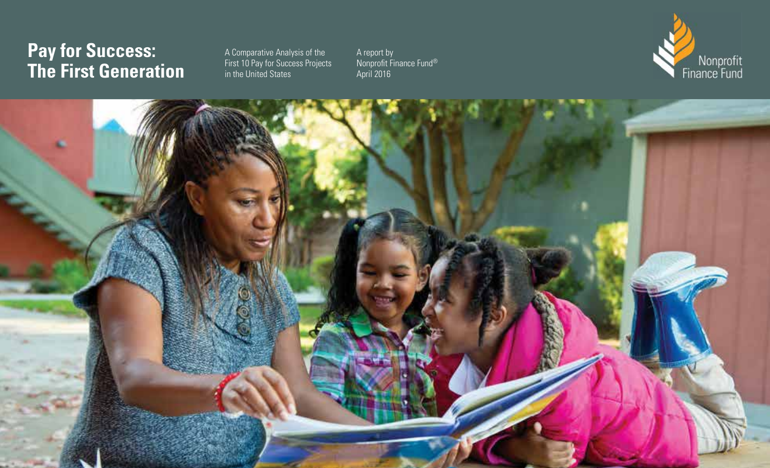# **Pay for Success: The First Generation**

A Comparative Analysis of the First 10 Pay for Success Projects in the United States

A report by Nonprofit Finance Fund® April 2016



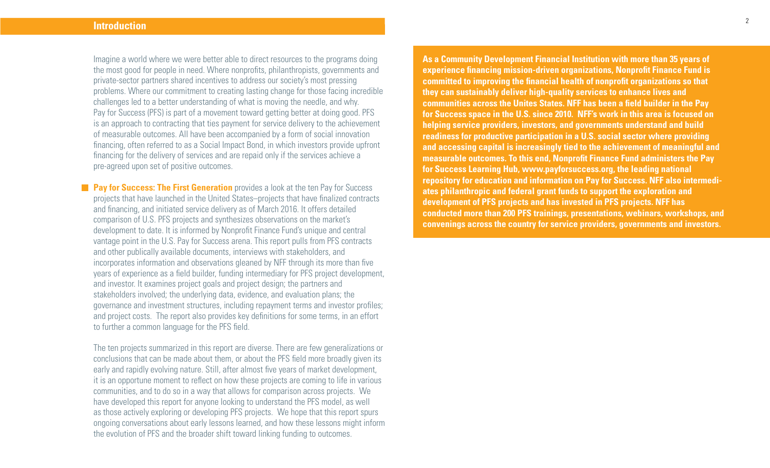Imagine a world where we were better able to direct resources to the programs doing the most good for people in need. Where nonprofits, philanthropists, governments and private-sector partners shared incentives to address our society's most pressing problems. Where our commitment to creating lasting change for those facing incredible challenges led to a better understanding of what is moving the needle, and why. Pay for Success (PFS) is part of a movement toward getting better at doing good. PFS is an approach to contracting that ties payment for service delivery to the achievement of measurable outcomes. All have been accompanied by a form of social innovation financing, often referred to as a Social Impact Bond, in which investors provide upfront financing for the delivery of services and are repaid only if the services achieve a pre-agreed upon set of positive outcomes.

**Pay for Success: The First Generation** provides a look at the ten Pay for Success projects that have launched in the United States–projects that have finalized contracts and financing, and initiated service delivery as of March 2016. It offers detailed comparison of U.S. PFS projects and synthesizes observations on the market's development to date. It is informed by Nonprofit Finance Fund's unique and central vantage point in the U.S. Pay for Success arena. This report pulls from PFS contracts and other publically available documents, interviews with stakeholders, and incorporates information and observations gleaned by NFF through its more than five years of experience as a field builder, funding intermediary for PFS project development, and investor. It examines project goals and project design; the partners and stakeholders involved; the underlying data, evidence, and evaluation plans; the governance and investment structures, including repayment terms and investor profiles; and project costs. The report also provides key definitions for some terms, in an effort to further a common language for the PFS field.

The ten projects summarized in this report are diverse. There are few generalizations or conclusions that can be made about them, or about the PFS field more broadly given its early and rapidly evolving nature. Still, after almost five years of market development, it is an opportune moment to reflect on how these projects are coming to life in various communities, and to do so in a way that allows for comparison across projects. We have developed this report for anyone looking to understand the PFS model, as well as those actively exploring or developing PFS projects. We hope that this report spurs ongoing conversations about early lessons learned, and how these lessons might inform the evolution of PFS and the broader shift toward linking funding to outcomes.

**As a Community Development Financial Institution with more than 35 years of experience financing mission-driven organizations, Nonprofit Finance Fund is committed to improving the financial health of nonprofit organizations so that they can sustainably deliver high-quality services to enhance lives and communities across the Unites States. NFF has been a field builder in the Pay for Success space in the U.S. since 2010. NFF's work in this area is focused on helping service providers, investors, and governments understand and build readiness for productive participation in a U.S. social sector where providing and accessing capital is increasingly tied to the achievement of meaningful and measurable outcomes. To this end, Nonprofit Finance Fund administers the Pay for Success Learning Hub, www.payforsuccess.org, the leading national repository for education and information on Pay for Success. NFF also intermediates philanthropic and federal grant funds to support the exploration and development of PFS projects and has invested in PFS projects. NFF has conducted more than 200 PFS trainings, presentations, webinars, workshops, and convenings across the country for service providers, governments and investors.**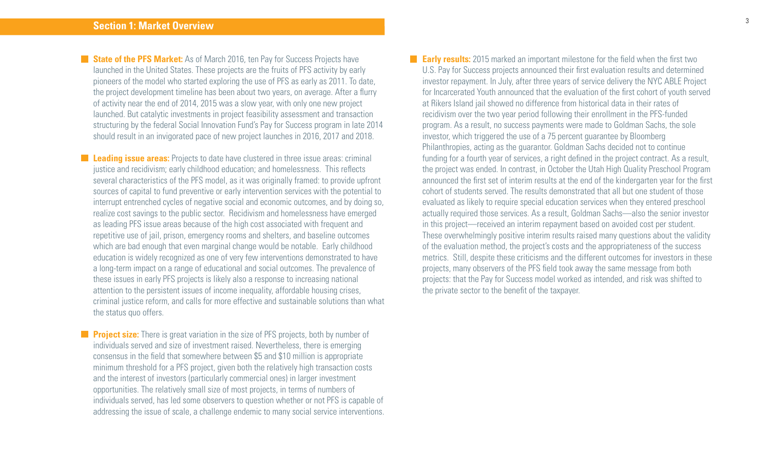**State of the PFS Market:** As of March 2016, ten Pay for Success Projects have launched in the United States. These projects are the fruits of PFS activity by early pioneers of the model who started exploring the use of PFS as early as 2011. To date, the project development timeline has been about two years, on average. After a flurry of activity near the end of 2014, 2015 was a slow year, with only one new project launched. But catalytic investments in project feasibility assessment and transaction structuring by the federal Social Innovation Fund's Pay for Success program in late 2014 should result in an invigorated pace of new project launches in 2016, 2017 and 2018.

**Leading issue areas:** Projects to date have clustered in three issue areas: criminal justice and recidivism; early childhood education; and homelessness. This reflects several characteristics of the PFS model, as it was originally framed: to provide upfront sources of capital to fund preventive or early intervention services with the potential to interrupt entrenched cycles of negative social and economic outcomes, and by doing so, realize cost savings to the public sector. Recidivism and homelessness have emerged as leading PFS issue areas because of the high cost associated with frequent and repetitive use of jail, prison, emergency rooms and shelters, and baseline outcomes which are bad enough that even marginal change would be notable. Early childhood education is widely recognized as one of very few interventions demonstrated to have a long-term impact on a range of educational and social outcomes. The prevalence of these issues in early PFS projects is likely also a response to increasing national attention to the persistent issues of income inequality, affordable housing crises, criminal justice reform, and calls for more effective and sustainable solutions than what the status quo offers.

**Project size:** There is great variation in the size of PFS projects, both by number of individuals served and size of investment raised. Nevertheless, there is emerging consensus in the field that somewhere between \$5 and \$10 million is appropriate minimum threshold for a PFS project, given both the relatively high transaction costs and the interest of investors (particularly commercial ones) in larger investment opportunities. The relatively small size of most projects, in terms of numbers of individuals served, has led some observers to question whether or not PFS is capable of addressing the issue of scale, a challenge endemic to many social service interventions. **Early results:** 2015 marked an important milestone for the field when the first two U.S. Pay for Success projects announced their first evaluation results and determined investor repayment. In July, after three years of service delivery the NYC ABLE Project for Incarcerated Youth announced that the evaluation of the first cohort of youth served at Rikers Island jail showed no difference from historical data in their rates of recidivism over the two year period following their enrollment in the PFS-funded program. As a result, no success payments were made to Goldman Sachs, the sole investor, which triggered the use of a 75 percent guarantee by Bloomberg Philanthropies, acting as the guarantor. Goldman Sachs decided not to continue funding for a fourth year of services, a right defined in the project contract. As a result, the project was ended. In contrast, in October the Utah High Quality Preschool Program announced the first set of interim results at the end of the kindergarten year for the first cohort of students served. The results demonstrated that all but one student of those evaluated as likely to require special education services when they entered preschool actually required those services. As a result, Goldman Sachs—also the senior investor in this project—received an interim repayment based on avoided cost per student. These overwhelmingly positive interim results raised many questions about the validity of the evaluation method, the project's costs and the appropriateness of the success metrics. Still, despite these criticisms and the different outcomes for investors in these projects, many observers of the PFS field took away the same message from both projects: that the Pay for Success model worked as intended, and risk was shifted to the private sector to the benefit of the taxpayer.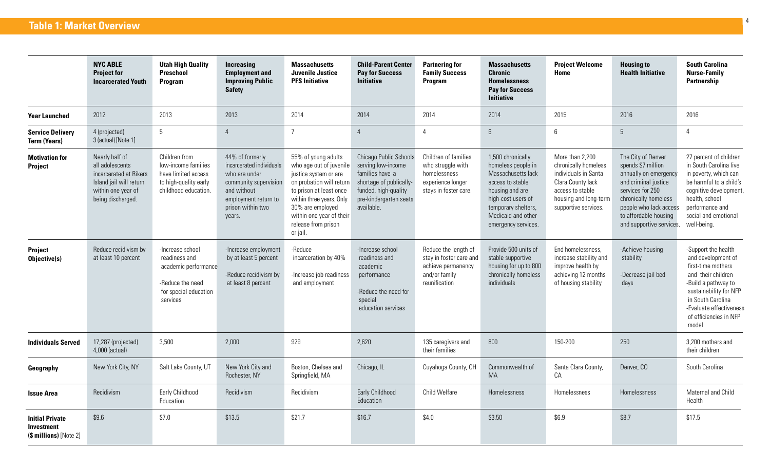# **Table 1: Market Overview**

|                                                                | <b>NYC ABLE</b><br><b>Project for</b><br><b>Incarcerated Youth</b>                                                                | <b>Utah High Quality</b><br>Preschool<br><b>Program</b>                                                            | <b>Increasing</b><br><b>Employment and</b><br><b>Improving Public</b><br><b>Safety</b>                                                                      | <b>Massachusetts</b><br>Juvenile Justice<br><b>PFS Initiative</b>                                                                                                                                                                             | <b>Child-Parent Center</b><br><b>Pay for Success</b><br><b>Initiative</b>                                                                                  | <b>Partnering for</b><br><b>Family Success</b><br>Program                                               | <b>Massachusetts</b><br><b>Chronic</b><br><b>Homelessness</b><br><b>Pay for Success</b><br><b>Initiative</b>                                                                                   | <b>Project Welcome</b><br>Home                                                                                                                            | <b>Housing to</b><br><b>Health Initiative</b>                                                                                                                                                                        | <b>South Carolina</b><br><b>Nurse-Family</b><br>Partnership                                                                                                                                                               |
|----------------------------------------------------------------|-----------------------------------------------------------------------------------------------------------------------------------|--------------------------------------------------------------------------------------------------------------------|-------------------------------------------------------------------------------------------------------------------------------------------------------------|-----------------------------------------------------------------------------------------------------------------------------------------------------------------------------------------------------------------------------------------------|------------------------------------------------------------------------------------------------------------------------------------------------------------|---------------------------------------------------------------------------------------------------------|------------------------------------------------------------------------------------------------------------------------------------------------------------------------------------------------|-----------------------------------------------------------------------------------------------------------------------------------------------------------|----------------------------------------------------------------------------------------------------------------------------------------------------------------------------------------------------------------------|---------------------------------------------------------------------------------------------------------------------------------------------------------------------------------------------------------------------------|
| <b>Year Launched</b>                                           | 2012                                                                                                                              | 2013                                                                                                               | 2013                                                                                                                                                        | 2014                                                                                                                                                                                                                                          | 2014                                                                                                                                                       | 2014                                                                                                    | 2014                                                                                                                                                                                           | 2015                                                                                                                                                      | 2016                                                                                                                                                                                                                 | 2016                                                                                                                                                                                                                      |
| <b>Service Delivery</b><br><b>Term (Years)</b>                 | 4 (projected)<br>3 (actual) [Note 1]                                                                                              | $5\phantom{.0}$                                                                                                    | $\overline{4}$                                                                                                                                              | $\overline{7}$                                                                                                                                                                                                                                | $\overline{4}$                                                                                                                                             | $\overline{4}$                                                                                          | $6\,$                                                                                                                                                                                          | $6\,$                                                                                                                                                     | 5                                                                                                                                                                                                                    | $\overline{4}$                                                                                                                                                                                                            |
| <b>Motivation for</b><br>Project                               | Nearly half of<br>all adolescents<br>incarcerated at Rikers<br>Island jail will return<br>within one year of<br>being discharged. | Children from<br>low-income families<br>have limited access<br>to high-quality early<br>childhood education.       | 44% of formerly<br>incarcerated individuals<br>who are under<br>community supervision<br>and without<br>employment return to<br>prison within two<br>years. | 55% of young adults<br>who age out of juvenile<br>justice system or are<br>on probation will return<br>to prison at least once<br>within three years. Only<br>30% are employed<br>within one year of their<br>release from prison<br>or jail. | Chicago Public Schools<br>serving low-income<br>families have a<br>shortage of publically-<br>funded, high-quality<br>pre-kindergarten seats<br>available. | Children of families<br>who struggle with<br>homelessness<br>experience longer<br>stays in foster care. | 1,500 chronically<br>homeless people in<br>Massachusetts lack<br>access to stable<br>housing and are<br>high-cost users of<br>temporary shelters,<br>Medicaid and other<br>emergency services. | More than 2,200<br>chronically homeless<br>individuals in Santa<br>Clara County lack<br>access to stable<br>housing and long-term<br>supportive services. | The City of Denver<br>spends \$7 million<br>annually on emergency<br>and criminal justice<br>services for 250<br>chronically homeless<br>people who lack access<br>to affordable housing<br>and supportive services. | 27 percent of children<br>in South Carolina live<br>in poverty, which can<br>be harmful to a child's<br>cognitive development,<br>health, school<br>performance and<br>social and emotional<br>well-being.                |
| Project<br>Objective(s)                                        | Reduce recidivism by<br>at least 10 percent                                                                                       | -Increase school<br>readiness and<br>academic performance<br>-Reduce the need<br>for special education<br>services | -Increase employment<br>by at least 5 percent<br>-Reduce recidivism by<br>at least 8 percent                                                                | -Reduce<br>incarceration by 40%<br>-Increase job readiness<br>and employment                                                                                                                                                                  | -Increase school<br>readiness and<br>academic<br>performance<br>-Reduce the need for<br>special<br>education services                                      | Reduce the length of<br>stay in foster care and<br>achieve permanency<br>and/or family<br>reunification | Provide 500 units of<br>stable supportive<br>housing for up to 800<br>chronically homeless<br>individuals                                                                                      | End homelessness.<br>increase stability and<br>improve health by<br>achieving 12 months<br>of housing stability                                           | -Achieve housing<br>stability<br>-Decrease jail bed<br>days                                                                                                                                                          | -Support the health<br>and development of<br>first-time mothers<br>and their children<br>-Build a pathway to<br>sustainability for NFP<br>in South Carolina<br>-Evaluate effectiveness<br>of efficiencies in NFP<br>model |
| <b>Individuals Served</b>                                      | 17,287 (projected)<br>4,000 (actual)                                                                                              | 3,500                                                                                                              | 2,000                                                                                                                                                       | 929                                                                                                                                                                                                                                           | 2,620                                                                                                                                                      | 135 caregivers and<br>their families                                                                    | 800                                                                                                                                                                                            | 150-200                                                                                                                                                   | 250                                                                                                                                                                                                                  | 3,200 mothers and<br>their children                                                                                                                                                                                       |
| Geography                                                      | New York City, NY                                                                                                                 | Salt Lake County, UT                                                                                               | New York City and<br>Rochester, NY                                                                                                                          | Boston, Chelsea and<br>Springfield, MA                                                                                                                                                                                                        | Chicago, IL                                                                                                                                                | Cuyahoga County, OH                                                                                     | Commonwealth of<br>MA                                                                                                                                                                          | Santa Clara County,<br>CA                                                                                                                                 | Denver, CO                                                                                                                                                                                                           | South Carolina                                                                                                                                                                                                            |
| <b>Issue Area</b>                                              | Recidivism                                                                                                                        | Early Childhood<br>Education                                                                                       | Recidivism                                                                                                                                                  | Recidivism                                                                                                                                                                                                                                    | Early Childhood<br>Education                                                                                                                               | Child Welfare                                                                                           | Homelessness                                                                                                                                                                                   | Homelessness                                                                                                                                              | Homelessness                                                                                                                                                                                                         | Maternal and Child<br>Health                                                                                                                                                                                              |
| <b>Initial Private</b><br>Investment<br>(\$ millions) [Note 2] | \$9.6                                                                                                                             | \$7.0                                                                                                              | \$13.5                                                                                                                                                      | \$21.7                                                                                                                                                                                                                                        | \$16.7                                                                                                                                                     | \$4.0                                                                                                   | \$3.50                                                                                                                                                                                         | \$6.9                                                                                                                                                     | \$8.7                                                                                                                                                                                                                | \$17.5                                                                                                                                                                                                                    |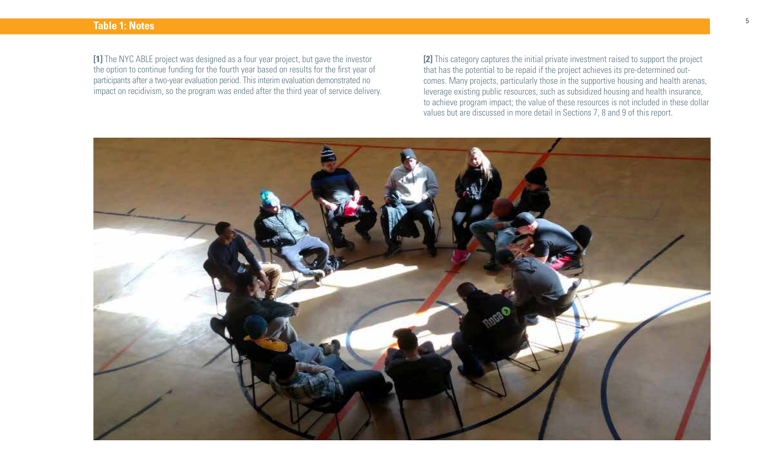### **Table 1: Notes**

**[1]** The NYC ABLE project was designed as a four year project, but gave the investor the option to continue funding for the fourth year based on results for the first year of participants after a two-year evaluation period. This interim evaluation demonstrated no impact on recidivism, so the program was ended after the third year of service delivery. **[2]** This category captures the initial private investment raised to support the project that has the potential to be repaid if the project achieves its pre-determined outcomes. Many projects, particularly those in the supportive housing and health arenas, leverage existing public resources, such as subsidized housing and health insurance, to achieve program impact; the value of these resources is not included in these dollar values but are discussed in more detail in Sections 7, 8 and 9 of this report.

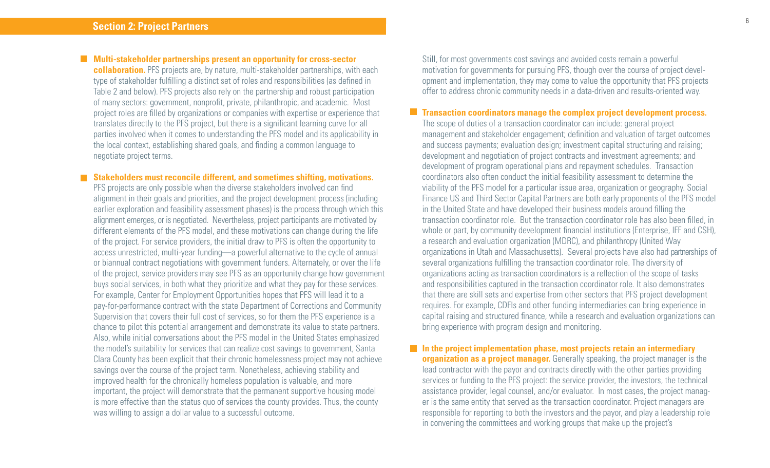**Multi-stakeholder partnerships present an opportunity for cross-sector** 

**collaboration.** PFS projects are, by nature, multi-stakeholder partnerships, with each type of stakeholder fulfilling a distinct set of roles and responsibilities (as defined in Table 2 and below). PFS projects also rely on the partnership and robust participation of many sectors: government, nonprofit, private, philanthropic, and academic. Most project roles are filled by organizations or companies with expertise or experience that translates directly to the PFS project, but there is a significant learning curve for all parties involved when it comes to understanding the PFS model and its applicability in the local context, establishing shared goals, and finding a common language to negotiate project terms.

**Stakeholders must reconcile different, and sometimes shifting, motivations.** 

PFS projects are only possible when the diverse stakeholders involved can find alignment in their goals and priorities, and the project development process (including earlier exploration and feasibility assessment phases) is the process through which this alignment emerges, or is negotiated. Nevertheless, project participants are motivated by different elements of the PFS model, and these motivations can change during the life of the project. For service providers, the initial draw to PFS is often the opportunity to access unrestricted, multi-year funding—a powerful alternative to the cycle of annual or biannual contract negotiations with government funders. Alternately, or over the life of the project, service providers may see PFS as an opportunity change how government buys social services, in both what they prioritize and what they pay for these services. For example, Center for Employment Opportunities hopes that PFS will lead it to a pay-for-performance contract with the state Department of Corrections and Community Supervision that covers their full cost of services, so for them the PFS experience is a chance to pilot this potential arrangement and demonstrate its value to state partners. Also, while initial conversations about the PFS model in the United States emphasized the model's suitability for services that can realize cost savings to government, Santa Clara County has been explicit that their chronic homelessness project may not achieve savings over the course of the project term. Nonetheless, achieving stability and improved health for the chronically homeless population is valuable, and more important, the project will demonstrate that the permanent supportive housing model is more effective than the status quo of services the county provides. Thus, the county was willing to assign a dollar value to a successful outcome.

Still, for most governments cost savings and avoided costs remain a powerful motivation for governments for pursuing PFS, though over the course of project development and implementation, they may come to value the opportunity that PFS projects offer to address chronic community needs in a data-driven and results-oriented way.

### **Transaction coordinators manage the complex project development process.**

The scope of duties of a transaction coordinator can include: general project management and stakeholder engagement; definition and valuation of target outcomes and success payments; evaluation design; investment capital structuring and raising; development and negotiation of project contracts and investment agreements; and development of program operational plans and repayment schedules. Transaction coordinators also often conduct the initial feasibility assessment to determine the viability of the PFS model for a particular issue area, organization or geography. Social Finance US and Third Sector Capital Partners are both early proponents of the PFS model in the United State and have developed their business models around filling the transaction coordinator role. But the transaction coordinator role has also been filled, in whole or part, by community development financial institutions (Enterprise, IFF and CSH), a research and evaluation organization (MDRC), and philanthropy (United Way organizations in Utah and Massachusetts). Several projects have also had partnerships of several organizations fulfilling the transaction coordinator role. The diversity of organizations acting as transaction coordinators is a reflection of the scope of tasks and responsibilities captured in the transaction coordinator role. It also demonstrates that there are skill sets and expertise from other sectors that PFS project development requires. For example, CDFIs and other funding intermediaries can bring experience in capital raising and structured finance, while a research and evaluation organizations can bring experience with program design and monitoring.

### **In the project implementation phase, most projects retain an intermediary**

**organization as a project manager.** Generally speaking, the project manager is the lead contractor with the payor and contracts directly with the other parties providing services or funding to the PFS project: the service provider, the investors, the technical assistance provider, legal counsel, and/or evaluator. In most cases, the project manager is the same entity that served as the transaction coordinator. Project managers are responsible for reporting to both the investors and the payor, and play a leadership role in convening the committees and working groups that make up the project's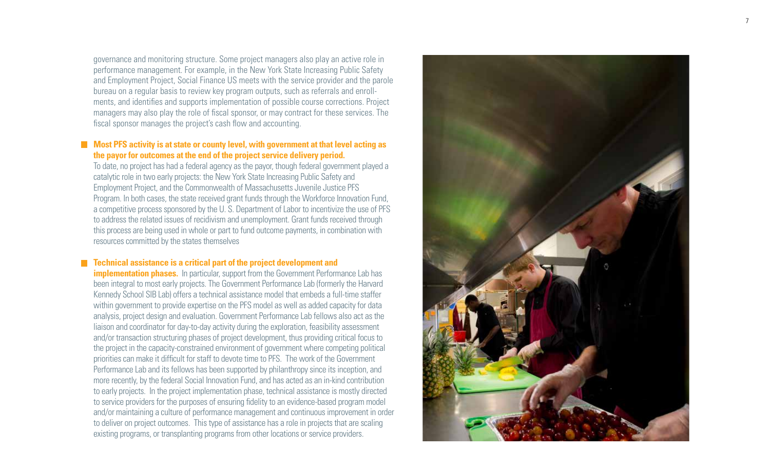governance and monitoring structure. Some project managers also play an active role in performance management. For example, in the New York State Increasing Public Safety and Employment Project, Social Finance US meets with the service provider and the parole bureau on a regular basis to review key program outputs, such as referrals and enroll ments, and identifies and supports implementation of possible course corrections. Project managers may also play the role of fiscal sponsor, or may contract for these services. The fiscal sponsor manages the project's cash flow and accounting.

### **Most PFS activity is at state or county level, with government at that level acting as the payor for outcomes at the end of the project service delivery period.**

To date, no project has had a federal agency as the payor, though federal government played a catalytic role in two early projects: the New York State Increasing Public Safety and Employment Project, and the Commonwealth of Massachusetts Juvenile Justice PFS Program. In both cases, the state received grant funds through the Workforce Innovation Fund, a competitive process sponsored by the U. S. Department of Labor to incentivize the use of PFS to address the related issues of recidivism and unemployment. Grant funds received through this process are being used in whole or part to fund outcome payments, in combination with resources committed by the states themselves

### **Technical assistance is a critical part of the project development and**

**implementation phases.** In particular, support from the Government Performance Lab has been integral to most early projects. The Government Performance Lab (formerly the Harvard Kennedy School SIB Lab) offers a technical assistance model that embeds a full-time staffer within government to provide expertise on the PFS model as well as added capacity for data analysis, project design and evaluation. Government Performance Lab fellows also act as the liaison and coordinator for day-to-day activity during the exploration, feasibility assessment and/or transaction structuring phases of project development, thus providing critical focus to the project in the capacity-constrained environment of government where competing political priorities can make it difficult for staff to devote time to PFS. The work of the Government Performance Lab and its fellows has been supported by philanthropy since its inception, and more recently, by the federal Social Innovation Fund, and has acted as an in-kind contribution to early projects. In the project implementation phase, technical assistance is mostly directed to service providers for the purposes of ensuring fidelity to an evidence-based program model and/or maintaining a culture of performance management and continuous improvement in order to deliver on project outcomes. This type of assistance has a role in projects that are scaling existing programs, or transplanting programs from other locations or service providers.

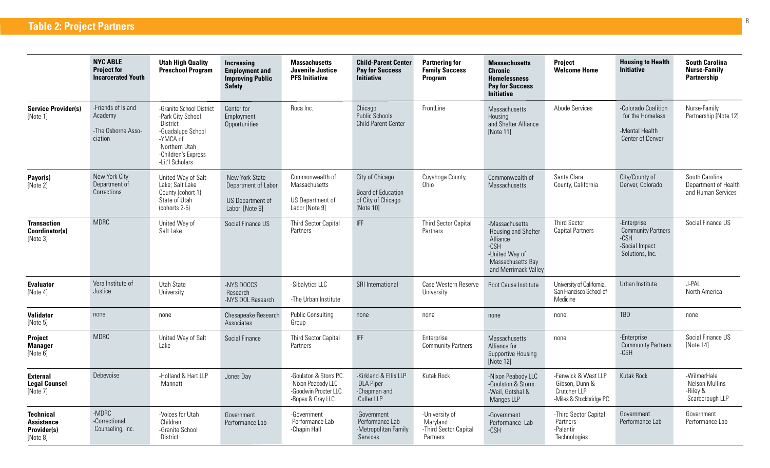|                                                                  | <b>NYC ABLE</b><br><b>Project for</b><br><b>Incarcerated Youth</b> | <b>Utah High Quality</b><br><b>Preschool Program</b>                                                                                                  | <b>Increasing</b><br><b>Employment and</b><br><b>Improving Public</b><br><b>Safety</b> | <b>Massachusetts</b><br><b>Juvenile Justice</b><br><b>PFS Initiative</b>                   | <b>Child-Parent Center</b><br><b>Pay for Success</b><br><b>Initiative</b> | <b>Partnering for</b><br><b>Family Success</b><br>Program       | <b>Massachusetts</b><br><b>Chronic</b><br><b>Homelessness</b><br><b>Pay for Success</b><br><b>Initiative</b>               | <b>Project</b><br><b>Welcome Home</b>                                               | <b>Housing to Health</b><br><b>Initiative</b>                                           | <b>South Carolina</b><br><b>Nurse-Family</b><br><b>Partnership</b> |
|------------------------------------------------------------------|--------------------------------------------------------------------|-------------------------------------------------------------------------------------------------------------------------------------------------------|----------------------------------------------------------------------------------------|--------------------------------------------------------------------------------------------|---------------------------------------------------------------------------|-----------------------------------------------------------------|----------------------------------------------------------------------------------------------------------------------------|-------------------------------------------------------------------------------------|-----------------------------------------------------------------------------------------|--------------------------------------------------------------------|
| <b>Service Provider(s)</b><br>[Note 1]                           | -Friends of Island<br>Academy<br>-The Osborne Asso-<br>ciation     | -Granite School District<br>-Park City School<br>District<br>-Guadalupe School<br>-YMCA of<br>Northern Utah<br>-Children's Express<br>-Lit'l Scholars | Center for<br>Employment<br>Opportunities                                              | Roca Inc.                                                                                  | Chicago<br>Public Schools<br>Child-Parent Center                          | FrontLine                                                       | <b>Massachusetts</b><br>Housing<br>and Shelter Alliance<br>[Note 11]                                                       | Abode Services                                                                      | -Colorado Coalition<br>for the Homeless<br>-Mental Health<br>Center of Denver           | Nurse-Family<br>Partnership [Note 12]                              |
| Payor(s)<br>[Note 2]                                             | New York City<br>Department of<br>Corrections                      | United Way of Salt<br>Lake; Salt Lake<br>County (cohort 1)<br>State of Utah<br>(cohorts 2-5)                                                          | New York State<br>Department of Labor<br>US Department of<br>Labor [Note 9]            | Commonwealth of<br>Massachusetts<br>US Department of<br>Labor [Note 9]                     | City of Chicago<br>Board of Education<br>of City of Chicago<br>[Note 10]  | Cuyahoga County,<br>Ohio                                        | Commonwealth of<br><b>Massachusetts</b>                                                                                    | Santa Clara<br>County, California                                                   | City/County of<br>Denver, Colorado                                                      | South Carolina<br>Department of Health<br>and Human Services       |
| <b>Transaction</b><br>Coordinator(s)<br>[Note 3]                 | <b>MDRC</b>                                                        | United Way of<br>Salt Lake                                                                                                                            | Social Finance US                                                                      | <b>Third Sector Capital</b><br>Partners                                                    | <b>IFF</b>                                                                | <b>Third Sector Capital</b><br>Partners                         | -Massachusetts<br>Housing and Shelter<br>Alliance<br>$-CSH$<br>-United Way of<br>Massachusetts Bay<br>and Merrimack Valley | <b>Third Sector</b><br><b>Capital Partners</b>                                      | -Enterprise<br><b>Community Partners</b><br>$-CSH$<br>-Social Impact<br>Solutions, Inc. | Social Finance US                                                  |
| <b>Evaluator</b><br>[Note 4]                                     | Vera Institute of<br>Justice                                       | Utah State<br>University                                                                                                                              | -NYS DOCCS<br>Research<br>-NYS DOL Research                                            | -Sibalytics LLC<br>-The Urban Institute                                                    | SRI International                                                         | Case Western Reserve<br>University                              | Root Cause Institute                                                                                                       | University of California,<br>San Francisco School of<br>Medicine                    | Urban Institute                                                                         | J-PAL<br>North America                                             |
| <b>Validator</b><br>[Note 5]                                     | none                                                               | none                                                                                                                                                  | Chesapeake Research<br>Associates                                                      | <b>Public Consulting</b><br>Group                                                          | none                                                                      | none                                                            | none                                                                                                                       | none                                                                                | TBD                                                                                     | none                                                               |
| Project<br><b>Manager</b><br>[Note 6]                            | <b>MDRC</b>                                                        | United Way of Salt<br>Lake                                                                                                                            | Social Finance                                                                         | <b>Third Sector Capital</b><br>Partners                                                    | IFF                                                                       | Enterprise<br><b>Community Partners</b>                         | Massachusetts<br>Alliance for<br>Supportive Housing<br>[Note 12]                                                           | none                                                                                | -Enterprise<br><b>Community Partners</b><br>$-CSH$                                      | Social Finance US<br>[Note 14]                                     |
| <b>External</b><br><b>Legal Counsel</b><br>[Note 7]              | Debevoise                                                          | -Holland & Hart LLP<br>-Mannatt                                                                                                                       | Jones Day                                                                              | -Goulston & Storrs P.C.<br>-Nixon Peabody LLC<br>-Goodwin Procter LLC<br>-Ropes & Gray LLC | -Kirkland & Ellis LLP<br>-DLA Piper<br>-Chapman and<br>Culler LLP         | Kutak Rock                                                      | -Nixon Peabody LLC<br>-Goulston & Storrs<br>-Weil, Gotshal &<br>Manges LLP                                                 | -Fenwick & West LLP<br>-Gibson, Dunn &<br>Crutcher LLP<br>-Miles & Stockbridge P.C. | Kutak Rock                                                                              | -WilmerHale<br>-Nelson Mullins<br>-Riley &<br>Scarborough LLP      |
| <b>Technical</b><br><b>Assistance</b><br>Provider(s)<br>[Note 8] | -MDRC<br>-Correctional<br>Counseling, Inc.                         | -Voices for Utah<br>Children<br>-Granite School<br>District                                                                                           | Government<br>Performance Lab                                                          | -Government<br>Performance Lab<br>-Chapin Hall                                             | -Government<br>Performance Lab<br>-Metropolitan Family<br>Services        | -University of<br>Maryland<br>-Third Sector Capital<br>Partners | -Government<br>Performance Lab<br>-CSH                                                                                     | -Third Sector Capital<br>Partners<br>-Palantir<br>Technologies                      | Government<br>Performance Lab                                                           | Government<br>Performance Lab                                      |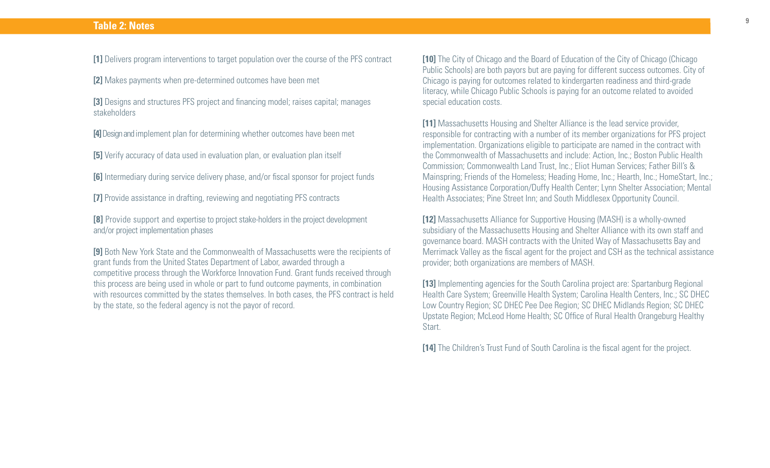### **Table 2: Notes**

**[1]** Delivers program interventions to target population over the course of the PFS contract

**[2]** Makes payments when pre-determined outcomes have been met

**[3]** Designs and structures PFS project and financing model; raises capital; manages stakeholders

**[4]** Design and implement plan for determining whether outcomes have been met

**[5]** Verify accuracy of data used in evaluation plan, or evaluation plan itself

**[6]** Intermediary during service delivery phase, and/or fiscal sponsor for project funds

**[7]** Provide assistance in drafting, reviewing and negotiating PFS contracts

**[8]** Provide support and expertise to project stake-holders in the project development and/or project implementation phases

**[9]** Both New York State and the Commonwealth of Massachusetts were the recipients of grant funds from the United States Department of Labor, awarded through a competitive process through the Workforce Innovation Fund. Grant funds received through this process are being used in whole or part to fund outcome payments, in combination with resources committed by the states themselves. In both cases, the PFS contract is held by the state, so the federal agency is not the payor of record.

**[10]** The City of Chicago and the Board of Education of the City of Chicago (Chicago Public Schools) are both payors but are paying for different success outcomes. City of Chicago is paying for outcomes related to kindergarten readiness and third-grade literacy, while Chicago Public Schools is paying for an outcome related to avoided special education costs.

**[11]** Massachusetts Housing and Shelter Alliance is the lead service provider, responsible for contracting with a number of its member organizations for PFS project implementation. Organizations eligible to participate are named in the contract with the Commonwealth of Massachusetts and include: Action, Inc.; Boston Public Health Commission; Commonwealth Land Trust, Inc.; Eliot Human Services; Father Bill's & Mainspring; Friends of the Homeless; Heading Home, Inc.; Hearth, Inc.; HomeStart, Inc.; Housing Assistance Corporation/Duffy Health Center; Lynn Shelter Association; Mental Health Associates; Pine Street Inn; and South Middlesex Opportunity Council.

**[12]** Massachusetts Alliance for Supportive Housing (MASH) is a wholly-owned subsidiary of the Massachusetts Housing and Shelter Alliance with its own staff and governance board. MASH contracts with the United Way of Massachusetts Bay and Merrimack Valley as the fiscal agent for the project and CSH as the technical assistance provider; both organizations are members of MASH.

**[13]** Implementing agencies for the South Carolina project are: Spartanburg Regional Health Care System; Greenville Health System; Carolina Health Centers, Inc.; SC DHEC Low Country Region; SC DHEC Pee Dee Region; SC DHEC Midlands Region; SC DHEC Upstate Region; McLeod Home Health; SC Office of Rural Health Orangeburg Healthy Start.

**[14]** The Children's Trust Fund of South Carolina is the fiscal agent for the project.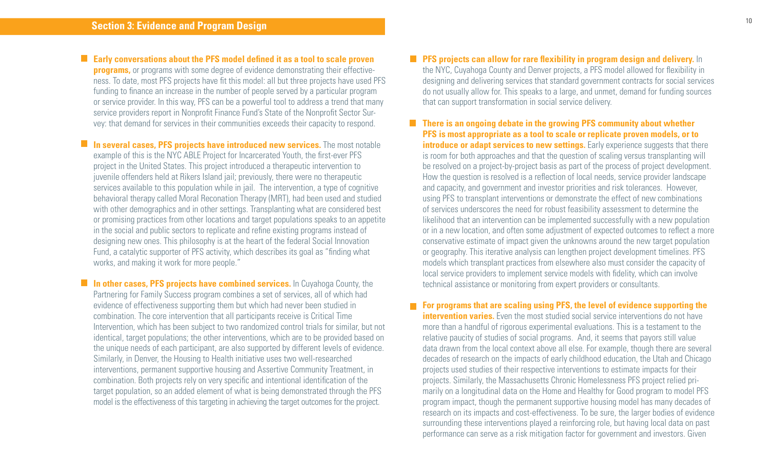**Early conversations about the PFS model defined it as a tool to scale proven programs,** or programs with some degree of evidence demonstrating their effectiveness. To date, most PFS projects have fit this model: all but three projects have used PFS funding to finance an increase in the number of people served by a particular program or service provider. In this way, PFS can be a powerful tool to address a trend that many service providers report in Nonprofit Finance Fund's State of the Nonprofit Sector Survey: that demand for services in their communities exceeds their capacity to respond.

**In several cases, PFS projects have introduced new services.** The most notable example of this is the NYC ABLE Project for Incarcerated Youth, the first-ever PFS project in the United States. This project introduced a therapeutic intervention to juvenile offenders held at Rikers Island jail; previously, there were no therapeutic services available to this population while in jail. The intervention, a type of cognitive behavioral therapy called Moral Reconation Therapy (MRT), had been used and studied with other demographics and in other settings. Transplanting what are considered best or promising practices from other locations and target populations speaks to an appetite in the social and public sectors to replicate and refine existing programs instead of designing new ones. This philosophy is at the heart of the federal Social Innovation Fund, a catalytic supporter of PFS activity, which describes its goal as "finding what works, and making it work for more people."

**In other cases. PFS projects have combined services.** In Cuvahoga County, the Partnering for Family Success program combines a set of services, all of which had evidence of effectiveness supporting them but which had never been studied in combination. The core intervention that all participants receive is Critical Time Intervention, which has been subject to two randomized control trials for similar, but not identical, target populations; the other interventions, which are to be provided based on the unique needs of each participant, are also supported by different levels of evidence. Similarly, in Denver, the Housing to Health initiative uses two well-researched interventions, permanent supportive housing and Assertive Community Treatment, in combination. Both projects rely on very specific and intentional identification of the target population, so an added element of what is being demonstrated through the PFS model is the effectiveness of this targeting in achieving the target outcomes for the project.

### **PFS projects can allow for rare flexibility in program design and delivery.** In the NYC, Cuyahoga County and Denver projects, a PFS model allowed for flexibility in designing and delivering services that standard government contracts for social services do not usually allow for. This speaks to a large, and unmet, demand for funding sources that can support transformation in social service delivery.

**There is an ongoing debate in the growing PFS community about whether PFS is most appropriate as a tool to scale or replicate proven models, or to introduce or adapt services to new settings.** Early experience suggests that there is room for both approaches and that the question of scaling versus transplanting will be resolved on a project-by-project basis as part of the process of project development. How the question is resolved is a reflection of local needs, service provider landscape and capacity, and government and investor priorities and risk tolerances. However, using PFS to transplant interventions or demonstrate the effect of new combinations of services underscores the need for robust feasibility assessment to determine the likelihood that an intervention can be implemented successfully with a new population or in a new location, and often some adjustment of expected outcomes to reflect a more conservative estimate of impact given the unknowns around the new target population or geography. This iterative analysis can lengthen project development timelines. PFS models which transplant practices from elsewhere also must consider the capacity of local service providers to implement service models with fidelity, which can involve technical assistance or monitoring from expert providers or consultants.

**For programs that are scaling using PFS, the level of evidence supporting the intervention varies.** Even the most studied social service interventions do not have more than a handful of rigorous experimental evaluations. This is a testament to the relative paucity of studies of social programs. And, it seems that payors still value data drawn from the local context above all else. For example, though there are several decades of research on the impacts of early childhood education, the Utah and Chicago projects used studies of their respective interventions to estimate impacts for their projects. Similarly, the Massachusetts Chronic Homelessness PFS project relied primarily on a longitudinal data on the Home and Healthy for Good program to model PFS program impact, though the permanent supportive housing model has many decades of research on its impacts and cost-effectiveness. To be sure, the larger bodies of evidence surrounding these interventions played a reinforcing role, but having local data on past performance can serve as a risk mitigation factor for government and investors. Given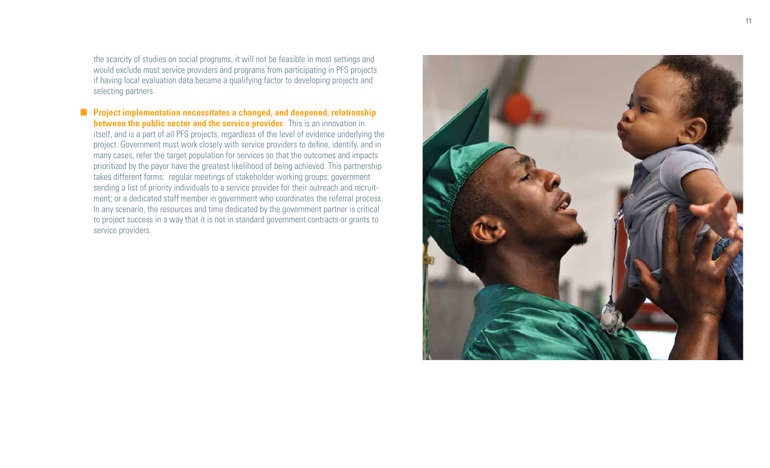the scarcity of studies on social programs, it will not be feasible in most settings and would exclude most service providers and programs from participating in PFS projects if having local evaluation data became a qualifying factor to developing projects and selecting partners.

**Project implementation necessitates a changed, and deepened, relationship between the public sector and the service provider.** This is an innovation in itself, and is a part of all PFS projects, regardless of the level of evidence underlying the project. Government must work closely with service providers to define, identify, and in many cases, refer the target population for services so that the outcomes and impacts prioritized by the payor have the greatest likelihood of being achieved. This partnership takes different forms: regular meetings of stakeholder working groups; government sending a list of priority individuals to a service provider for their outreach and recruit ment; or a dedicated staff member in government who coordinates the referral process. In any scenario, the resources and time dedicated by the government partner is critical to project success in a way that it is not in standard government contracts or grants to service providers.

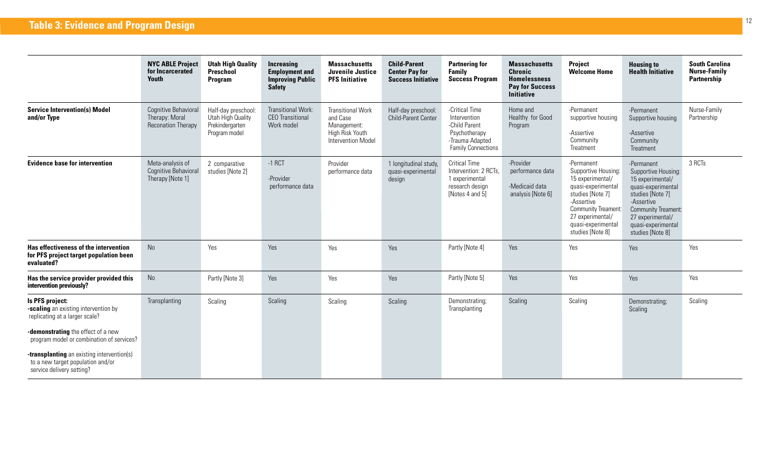| <b>NYC ABLE Project</b><br>for Incarcerated<br>Youth                | <b>Utah High Quality</b><br>Preschool<br><b>Program</b>                      | Increasing<br><b>Employment and</b><br><b>Improving Public</b><br><b>Safety</b> | <b>Massachusetts</b><br>Juvenile Justice<br><b>PFS Initiative</b>                            | <b>Child-Parent</b><br><b>Center Pay for</b><br><b>Success Initiative</b> | <b>Partnering for</b><br><b>Family</b><br><b>Success Program</b>                                                 | <b>Massachusetts</b><br><b>Chronic</b><br><b>Homelessness</b><br><b>Pay for Success</b><br><b>Initiative</b> | <b>Project</b><br><b>Welcome Home</b>                                                                                                                                                                     | <b>Housing to</b><br><b>Health Initiative</b>                                                                                                                                                             | <b>South Carolina</b><br><b>Nurse-Family</b><br>Partnership |
|---------------------------------------------------------------------|------------------------------------------------------------------------------|---------------------------------------------------------------------------------|----------------------------------------------------------------------------------------------|---------------------------------------------------------------------------|------------------------------------------------------------------------------------------------------------------|--------------------------------------------------------------------------------------------------------------|-----------------------------------------------------------------------------------------------------------------------------------------------------------------------------------------------------------|-----------------------------------------------------------------------------------------------------------------------------------------------------------------------------------------------------------|-------------------------------------------------------------|
| Cognitive Behavioral<br>Therapy: Moral<br><b>Reconation Therapy</b> | Half-day preschool:<br>Utah High Quality<br>Prekindergarten<br>Program model | Transitional Work:<br><b>CEO</b> Transitional<br>Work model                     | <b>Transitional Work</b><br>and Case<br>Management:<br>High Risk Youth<br>Intervention Model | Half-day preschool:<br>Child-Parent Center                                | -Critical Time<br>Intervention<br>-Child Parent<br>Psychotherapy<br>-Trauma Adapted<br><b>Family Connections</b> | Home and<br>Healthy for Good<br>Program                                                                      | -Permanent<br>supportive housing<br>-Assertive<br>Community<br>Treatment                                                                                                                                  | -Permanent<br>Supportive housing<br>-Assertive<br>Community<br>Treatment                                                                                                                                  | Nurse-Family<br>Partnership                                 |
| Meta-analysis of<br>Cognitive Behavioral<br>Therapy [Note 1]        | 2 comparative<br>studies [Note 2]                                            | $-1$ RCT<br>-Provider<br>performance data                                       | Provider<br>performance data                                                                 | 1 longitudinal study,<br>quasi-experimental<br>design                     | <b>Critical Time</b><br>Intervention: 2 RCTs,<br>1 experimental<br>research design<br>[Notes 4 and 5]            | -Provider<br>performance data<br>-Medicaid data<br>analysis [Note 6]                                         | -Permanent<br>Supportive Housing:<br>15 experimental/<br>quasi-experimental<br>studies [Note 7]<br>-Assertive<br><b>Community Treament:</b><br>27 experimental/<br>quasi-experimental<br>studies [Note 8] | -Permanent<br>Supportive Housing:<br>15 experimental/<br>quasi-experimental<br>studies [Note 7]<br>-Assertive<br><b>Community Treament:</b><br>27 experimental/<br>quasi-experimental<br>studies [Note 8] | 3 RCTs                                                      |
| No                                                                  | Yes                                                                          | Yes                                                                             | Yes                                                                                          | Yes                                                                       | Partly [Note 4]                                                                                                  | Yes                                                                                                          | Yes                                                                                                                                                                                                       | Yes                                                                                                                                                                                                       | Yes                                                         |
| No                                                                  | Partly [Note 3]                                                              | Yes                                                                             | Yes                                                                                          | Yes                                                                       | Partly [Note 5]                                                                                                  | Yes                                                                                                          | Yes                                                                                                                                                                                                       | Yes                                                                                                                                                                                                       | Yes                                                         |
| Transplanting                                                       | Scaling                                                                      | Scaling                                                                         | Scaling                                                                                      | Scaling                                                                   | Demonstrating;<br>Transplanting                                                                                  | Scaling                                                                                                      | Scaling                                                                                                                                                                                                   | Demonstrating;<br>Scaling                                                                                                                                                                                 | Scaling                                                     |
|                                                                     |                                                                              |                                                                                 |                                                                                              |                                                                           |                                                                                                                  |                                                                                                              |                                                                                                                                                                                                           |                                                                                                                                                                                                           |                                                             |
|                                                                     |                                                                              |                                                                                 |                                                                                              |                                                                           |                                                                                                                  |                                                                                                              |                                                                                                                                                                                                           |                                                                                                                                                                                                           |                                                             |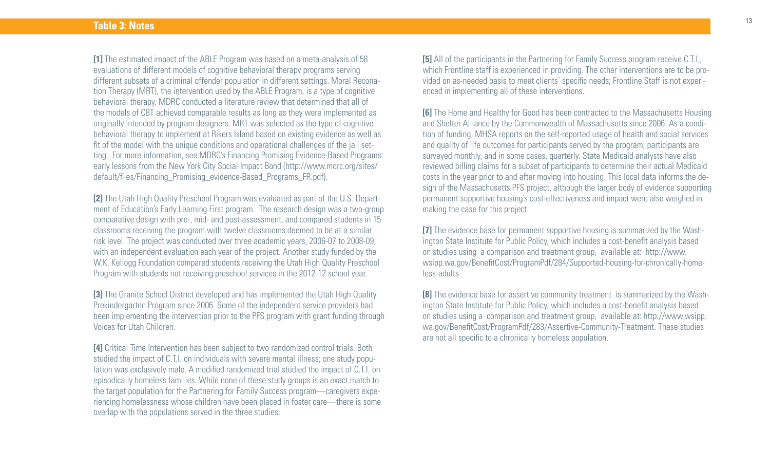**[1]** The estimated impact of the ABLE Program was based on a meta-analysis of 58 evaluations of different models of cognitive behavioral therapy programs serving different subsets of a criminal offender population in different settings. Moral Reconation Therapy (MRT), the intervention used by the ABLE Program, is a type of cognitive behavioral therapy. MDRC conducted a literature review that determined that all of the models of CBT achieved comparable results as long as they were implemented as originally intended by program designers. MRT was selected as the type of cognitive behavioral therapy to implement at Rikers Island based on existing evidence as well as fit of the model with the unique conditions and operational challenges of the jail setting. For more information, see MDRC's Financing Promising Evidence-Based Programs: early lessons from the New York City Social Impact Bond (http://www.mdrc.org/sites/ default/files/Financing\_Promising\_evidence-Based\_Programs\_FR.pdf).

**[2]** The Utah High Quality Preschool Program was evaluated as part of the U.S. Department of Education's Early Learning First program. The research design was a two-group comparative design with pre-, mid- and post-assessment, and compared students in 15 classrooms receiving the program with twelve classrooms deemed to be at a similar risk level. The project was conducted over three academic years, 2006-07 to 2008-09, with an independent evaluation each year of the project. Another study funded by the W.K. Kellogg Foundation compared students receiving the Utah High Quality Preschool Program with students not receiving preschool services in the 2012-12 school year.

**[3]** The Granite School District developed and has implemented the Utah High Quality Prekindergarten Program since 2006. Some of the independent service providers had been implementing the intervention prior to the PFS program with grant funding through Voices for Utah Children.

**[4]** Critical Time Intervention has been subject to two randomized control trials. Both studied the impact of C.T.I. on individuals with severe mental illness; one study population was exclusively male. A modified randomized trial studied the impact of C.T.I. on episodically homeless families. While none of these study groups is an exact match to the target population for the Partnering for Family Success program—caregivers experiencing homelessness whose children have been placed in foster care—there is some overlap with the populations served in the three studies.

**[5]** All of the participants in the Partnering for Family Success program receive C.T.I., which Frontline staff is experienced in providing. The other interventions are to be provided on as-needed basis to meet clients' specific needs; Frontline Staff is not experienced in implementing all of these interventions.

**[6]** The Home and Healthy for Good has been contracted to the Massachusetts Housing and Shelter Alliance by the Commonwealth of Massachusetts since 2006. As a condition of funding, MHSA reports on the self-reported usage of health and social services and quality of life outcomes for participants served by the program; participants are surveyed monthly, and in some cases, quarterly. State Medicaid analysts have also reviewed billing claims for a subset of participants to determine their actual Medicaid costs in the year prior to and after moving into housing. This local data informs the design of the Massachusetts PFS project, although the larger body of evidence supporting permanent supportive housing's cost-effectiveness and impact were also weighed in making the case for this project.

**[7]** The evidence base for permanent supportive housing is summarized by the Washington State Institute for Public Policy, which includes a cost-benefit analysis based on studies using a comparison and treatment group, available at: http://www. wsipp.wa.gov/BenefitCost/ProgramPdf/284/Supported-housing-for-chronically-homeless-adults

**[8]** The evidence base for assertive community treatment is summarized by the Washington State Institute for Public Policy, which includes a cost-benefit analysis based on studies using a comparison and treatment group, available at: http://www.wsipp. wa.gov/BenefitCost/ProgramPdf/283/Assertive-Community-Treatment. These studies are not all specific to a chronically homeless population.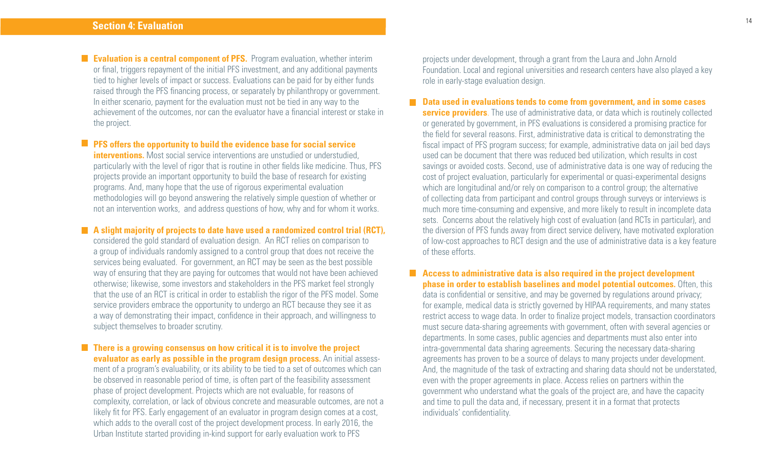**Evaluation is a central component of PFS.** Program evaluation, whether interim or final, triggers repayment of the initial PFS investment, and any additional payments tied to higher levels of impact or success. Evaluations can be paid for by either funds raised through the PFS financing process, or separately by philanthropy or government. In either scenario, payment for the evaluation must not be tied in any way to the achievement of the outcomes, nor can the evaluator have a financial interest or stake in the project.

**PFS offers the opportunity to build the evidence base for social service interventions.** Most social service interventions are unstudied or understudied, particularly with the level of rigor that is routine in other fields like medicine. Thus, PFS projects provide an important opportunity to build the base of research for existing programs. And, many hope that the use of rigorous experimental evaluation methodologies will go beyond answering the relatively simple question of whether or not an intervention works, and address questions of how, why and for whom it works.

**A** slight majority of projects to date have used a randomized control trial (RCT), considered the gold standard of evaluation design. An RCT relies on comparison to a group of individuals randomly assigned to a control group that does not receive the services being evaluated. For government, an RCT may be seen as the best possible way of ensuring that they are paying for outcomes that would not have been achieved otherwise; likewise, some investors and stakeholders in the PFS market feel strongly that the use of an RCT is critical in order to establish the rigor of the PFS model. Some service providers embrace the opportunity to undergo an RCT because they see it as a way of demonstrating their impact, confidence in their approach, and willingness to subject themselves to broader scrutiny.

**There is a growing consensus on how critical it is to involve the project evaluator as early as possible in the program design process.** An initial assessment of a program's evaluability, or its ability to be tied to a set of outcomes which can be observed in reasonable period of time, is often part of the feasibility assessment phase of project development. Projects which are not evaluable, for reasons of complexity, correlation, or lack of obvious concrete and measurable outcomes, are not a likely fit for PFS. Early engagement of an evaluator in program design comes at a cost, which adds to the overall cost of the project development process. In early 2016, the Urban Institute started providing in-kind support for early evaluation work to PFS

projects under development, through a grant from the Laura and John Arnold Foundation. Local and regional universities and research centers have also played a key role in early-stage evaluation design.

**Data used in evaluations tends to come from government, and in some cases service providers**. The use of administrative data, or data which is routinely collected or generated by government, in PFS evaluations is considered a promising practice for the field for several reasons. First, administrative data is critical to demonstrating the fiscal impact of PFS program success; for example, administrative data on jail bed days used can be document that there was reduced bed utilization, which results in cost savings or avoided costs. Second, use of administrative data is one way of reducing the cost of project evaluation, particularly for experimental or quasi-experimental designs which are longitudinal and/or rely on comparison to a control group; the alternative of collecting data from participant and control groups through surveys or interviews is much more time-consuming and expensive, and more likely to result in incomplete data sets. Concerns about the relatively high cost of evaluation (and RCTs in particular), and the diversion of PFS funds away from direct service delivery, have motivated exploration of low-cost approaches to RCT design and the use of administrative data is a key feature of these efforts.

**Access to administrative data is also required in the project development phase in order to establish baselines and model potential outcomes.** Often, this data is confidential or sensitive, and may be governed by regulations around privacy; for example, medical data is strictly governed by HIPAA requirements, and many states restrict access to wage data. In order to finalize project models, transaction coordinators must secure data-sharing agreements with government, often with several agencies or departments. In some cases, public agencies and departments must also enter into intra-governmental data sharing agreements. Securing the necessary data-sharing agreements has proven to be a source of delays to many projects under development. And, the magnitude of the task of extracting and sharing data should not be understated, even with the proper agreements in place. Access relies on partners within the government who understand what the goals of the project are, and have the capacity and time to pull the data and, if necessary, present it in a format that protects individuals' confidentiality.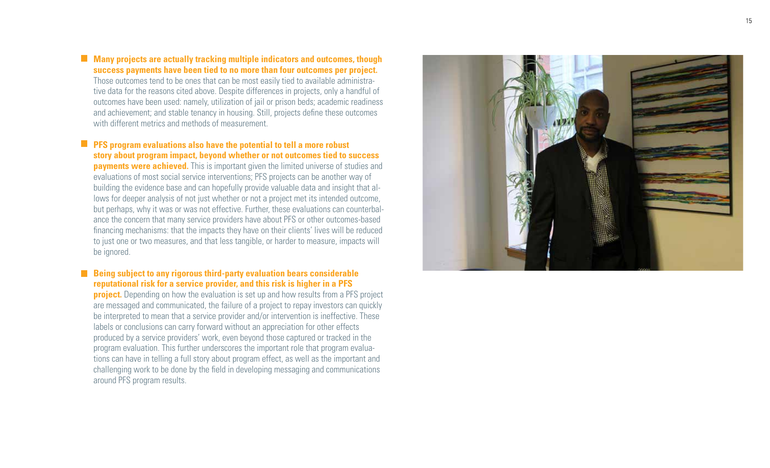## **Many projects are actually tracking multiple indicators and outcomes, though success payments have been tied to no more than four outcomes per project.**

Those outcomes tend to be ones that can be most easily tied to available administra tive data for the reasons cited above. Despite differences in projects, only a handful of outcomes have been used: namely, utilization of jail or prison beds; academic readiness and achievement; and stable tenancy in housing. Still, projects define these outcomes with different metrics and methods of measurement.

**PFS** program evaluations also have the potential to tell a more robust **story about program impact, beyond whether or not outcomes tied to success payments were achieved.** This is important given the limited universe of studies and evaluations of most social service interventions; PFS projects can be another way of building the evidence base and can hopefully provide valuable data and insight that al lows for deeper analysis of not just whether or not a project met its intended outcome, but perhaps, why it was or was not effective. Further, these evaluations can counterbal ance the concern that many service providers have about PFS or other outcomes-based financing mechanisms: that the impacts they have on their clients' lives will be reduced to just one or two measures, and that less tangible, or harder to measure, impacts will be ignored.

### **Being subject to any rigorous third-party evaluation bears considerable reputational risk for a service provider, and this risk is higher in a PFS**

**project.** Depending on how the evaluation is set up and how results from a PFS project are messaged and communicated, the failure of a project to repay investors can quickly be interpreted to mean that a service provider and/or intervention is ineffective. These labels or conclusions can carry forward without an appreciation for other effects produced by a service providers' work, even beyond those captured or tracked in the program evaluation. This further underscores the important role that program evalua tions can have in telling a full story about program effect, as well as the important and challenging work to be done by the field in developing messaging and communications around PFS program results.

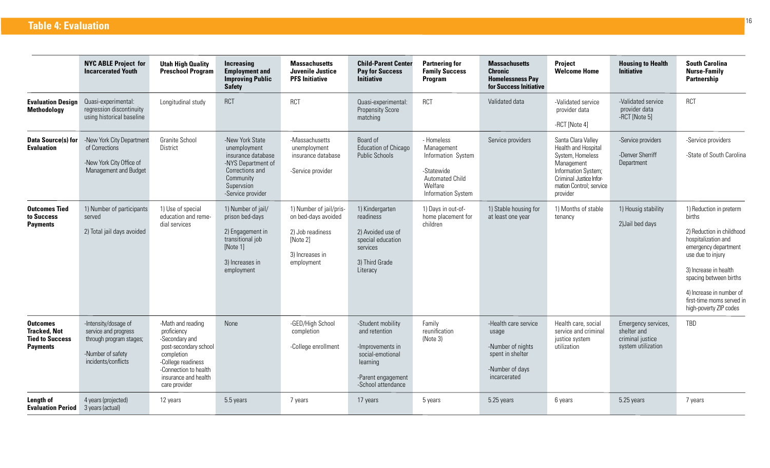|                                                                                     | <b>NYC ABLE Project for</b><br><b>Incarcerated Youth</b>                                                            | <b>Utah High Quality</b><br><b>Preschool Program</b>                                                                                                                              | Increasing<br><b>Employment and</b><br><b>Improving Public</b><br><b>Safety</b>                                                                | <b>Massachusetts</b><br>Juvenile Justice<br><b>PFS Initiative</b>                                               | <b>Child-Parent Center</b><br><b>Pay for Success</b><br><b>Initiative</b>                                                          | <b>Partnering for</b><br><b>Family Success</b><br><b>Program</b>                                                 | <b>Massachusetts</b><br><b>Chronic</b><br><b>Homelessness Pay</b><br>for Success Initiative               | <b>Project</b><br><b>Welcome Home</b>                                                                                                                                | <b>Housing to Health</b><br><b>Initiative</b>                                | <b>South Carolina</b><br><b>Nurse-Family</b><br>Partnership                                                                                                                                                                                                              |
|-------------------------------------------------------------------------------------|---------------------------------------------------------------------------------------------------------------------|-----------------------------------------------------------------------------------------------------------------------------------------------------------------------------------|------------------------------------------------------------------------------------------------------------------------------------------------|-----------------------------------------------------------------------------------------------------------------|------------------------------------------------------------------------------------------------------------------------------------|------------------------------------------------------------------------------------------------------------------|-----------------------------------------------------------------------------------------------------------|----------------------------------------------------------------------------------------------------------------------------------------------------------------------|------------------------------------------------------------------------------|--------------------------------------------------------------------------------------------------------------------------------------------------------------------------------------------------------------------------------------------------------------------------|
| <b>Evaluation Design</b><br>Methodology                                             | Quasi-experimental:<br>regression discontinuity<br>using historical baseline                                        | Longitudinal study                                                                                                                                                                | <b>RCT</b>                                                                                                                                     | <b>RCT</b>                                                                                                      | Quasi-experimental:<br><b>Propensity Score</b><br>matching                                                                         | <b>RCT</b>                                                                                                       | Validated data                                                                                            | -Validated service<br>provider data<br>-RCT [Note 4]                                                                                                                 | -Validated service<br>provider data<br>-RCT [Note 5]                         | <b>RCT</b>                                                                                                                                                                                                                                                               |
| Data Source(s) for<br><b>Evaluation</b>                                             | -New York City Department<br>of Corrections<br>-New York City Office of<br>Management and Budget                    | Granite School<br><b>District</b>                                                                                                                                                 | -New York State<br>unemployment<br>insurance database<br>-NYS Department of<br>Corrections and<br>Community<br>Supervsion<br>-Service provider | -Massachusetts<br>unemployment<br>insurance database<br>-Service provider                                       | Board of<br>Education of Chicago<br><b>Public Schools</b>                                                                          | - Homeless<br>Management<br>Information System<br>-Statewide<br>Automated Child<br>Welfare<br>Information System | Service providers                                                                                         | Santa Clara Valley<br>Health and Hospital<br>System, Homeless<br>Management<br>Information System;<br>Criminal Justice Infor-<br>mation Control; service<br>provider | -Service providers<br>-Denver Sherriff<br>Department                         | -Service providers<br>-State of South Carolina                                                                                                                                                                                                                           |
| <b>Outcomes Tied</b><br>to Success<br><b>Payments</b>                               | 1) Number of participants<br>served<br>2) Total jail days avoided                                                   | 1) Use of special<br>education and reme-<br>dial services                                                                                                                         | 1) Number of jail/<br>prison bed-days<br>2) Engagement in<br>transitional job<br>[Note 1]<br>3) Increases in<br>employment                     | 1) Number of jail/pris-<br>on bed-days avoided<br>2) Job readiness<br>[Note 2]<br>3) Increases in<br>employment | 1) Kindergarten<br>readiness<br>2) Avoided use of<br>special education<br>services<br>3) Third Grade<br>Literacy                   | 1) Days in out-of-<br>home placement for<br>children                                                             | 1) Stable housing for<br>at least one year                                                                | 1) Months of stable<br>tenancy                                                                                                                                       | 1) Housig stability<br>2) Jail bed days                                      | 1) Reduction in preterm<br>births<br>2) Reduction in childhood<br>hospitalization and<br>emergency department<br>use due to injury<br>3) Increase in health<br>spacing between births<br>4) Increase in number of<br>first-time moms served in<br>high-poverty ZIP codes |
| <b>Outcomes</b><br><b>Tracked, Not</b><br><b>Tied to Success</b><br><b>Payments</b> | -Intensity/dosage of<br>service and progress<br>through program stages;<br>-Number of safety<br>incidents/conflicts | -Math and reading<br>proficiency<br>-Secondary and<br>post-secondary school<br>completion<br>-College readiness<br>-Connection to health<br>insurance and health<br>care provider | None                                                                                                                                           | -GED/High School<br>completion<br>-College enrollment                                                           | -Student mobility<br>and retention<br>-Improvements in<br>social-emotional<br>learning<br>-Parent engagement<br>-School attendance | Family<br>reunification<br>(Note 3)                                                                              | -Health care service<br>usage<br>-Number of nights<br>spent in shelter<br>-Number of days<br>incarcerated | Health care, social<br>service and criminal<br>justice system<br>utilization                                                                                         | Emergency services,<br>shelter and<br>criminal justice<br>system utilization | TBD                                                                                                                                                                                                                                                                      |
| Length of<br><b>Evaluation Period</b>                                               | 4 years (projected)<br>3 years (actual)                                                                             | 12 years                                                                                                                                                                          | 5.5 years                                                                                                                                      | 7 years                                                                                                         | 17 years                                                                                                                           | 5 years                                                                                                          | 5.25 years                                                                                                | 6 years                                                                                                                                                              | 5.25 years                                                                   | 7 years                                                                                                                                                                                                                                                                  |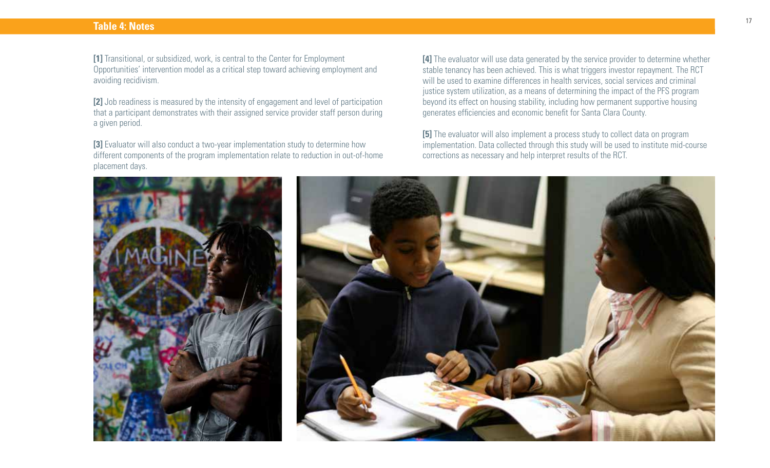### **Table 4: Notes**

**[1]** Transitional, or subsidized, work, is central to the Center for Employment Opportunities' intervention model as a critical step toward achieving employment and avoiding recidivism.

**[2]** Job readiness is measured by the intensity of engagement and level of participation that a participant demonstrates with their assigned service provider staff person during a given period.

**[3]** Evaluator will also conduct a two-year implementation study to determine how different components of the program implementation relate to reduction in out-of-home placement days.

**[4]** The evaluator will use data generated by the service provider to determine whether stable tenancy has been achieved. This is what triggers investor repayment. The RCT will be used to examine differences in health services, social services and criminal justice system utilization, as a means of determining the impact of the PFS program beyond its effect on housing stability, including how permanent supportive housing generates efficiencies and economic benefit for Santa Clara County.

**[5]** The evaluator will also implement a process study to collect data on program implementation. Data collected through this study will be used to institute mid-course corrections as necessary and help interpret results of the RCT.



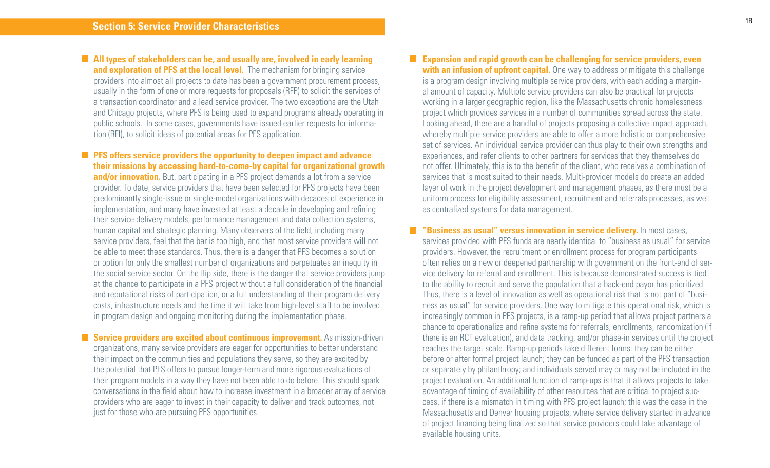**All types of stakeholders can be, and usually are, involved in early learning and exploration of PFS at the local level.** The mechanism for bringing service providers into almost all projects to date has been a government procurement process, usually in the form of one or more requests for proposals (RFP) to solicit the services of a transaction coordinator and a lead service provider. The two exceptions are the Utah and Chicago projects, where PFS is being used to expand programs already operating in public schools. In some cases, governments have issued earlier requests for information (RFI), to solicit ideas of potential areas for PFS application.

**PFS** offers service providers the opportunity to deepen impact and advance **their missions by accessing hard-to-come-by capital for organizational growth and/or innovation.** But, participating in a PFS project demands a lot from a service provider. To date, service providers that have been selected for PFS projects have been predominantly single-issue or single-model organizations with decades of experience in implementation, and many have invested at least a decade in developing and refining their service delivery models, performance management and data collection systems, human capital and strategic planning. Many observers of the field, including many service providers, feel that the bar is too high, and that most service providers will not be able to meet these standards. Thus, there is a danger that PFS becomes a solution or option for only the smallest number of organizations and perpetuates an inequity in the social service sector. On the flip side, there is the danger that service providers jump at the chance to participate in a PFS project without a full consideration of the financial and reputational risks of participation, or a full understanding of their program delivery costs, infrastructure needs and the time it will take from high-level staff to be involved in program design and ongoing monitoring during the implementation phase.

**Service providers are excited about continuous improvement.** As mission-driven organizations, many service providers are eager for opportunities to better understand their impact on the communities and populations they serve, so they are excited by the potential that PFS offers to pursue longer-term and more rigorous evaluations of their program models in a way they have not been able to do before. This should spark conversations in the field about how to increase investment in a broader array of service providers who are eager to invest in their capacity to deliver and track outcomes, not just for those who are pursuing PFS opportunities.

**Expansion and rapid growth can be challenging for service providers, even with an infusion of upfront capital.** One way to address or mitigate this challenge is a program design involving multiple service providers, with each adding a marginal amount of capacity. Multiple service providers can also be practical for projects working in a larger geographic region, like the Massachusetts chronic homelessness project which provides services in a number of communities spread across the state. Looking ahead, there are a handful of projects proposing a collective impact approach, whereby multiple service providers are able to offer a more holistic or comprehensive set of services. An individual service provider can thus play to their own strengths and experiences, and refer clients to other partners for services that they themselves do not offer. Ultimately, this is to the benefit of the client, who receives a combination of services that is most suited to their needs. Multi-provider models do create an added layer of work in the project development and management phases, as there must be a uniform process for eligibility assessment, recruitment and referrals processes, as well as centralized systems for data management.

**"Business as usual" versus innovation in service delivery.** In most cases, services provided with PFS funds are nearly identical to "business as usual" for service providers. However, the recruitment or enrollment process for program participants often relies on a new or deepened partnership with government on the front-end of service delivery for referral and enrollment. This is because demonstrated success is tied to the ability to recruit and serve the population that a back-end payor has prioritized. Thus, there is a level of innovation as well as operational risk that is not part of "business as usual" for service providers. One way to mitigate this operational risk, which is increasingly common in PFS projects, is a ramp-up period that allows project partners a chance to operationalize and refine systems for referrals, enrollments, randomization (if there is an RCT evaluation), and data tracking, and/or phase-in services until the project reaches the target scale. Ramp-up periods take different forms: they can be either before or after formal project launch; they can be funded as part of the PFS transaction or separately by philanthropy; and individuals served may or may not be included in the project evaluation. An additional function of ramp-ups is that it allows projects to take advantage of timing of availability of other resources that are critical to project success, if there is a mismatch in timing with PFS project launch; this was the case in the Massachusetts and Denver housing projects, where service delivery started in advance of project financing being finalized so that service providers could take advantage of available housing units.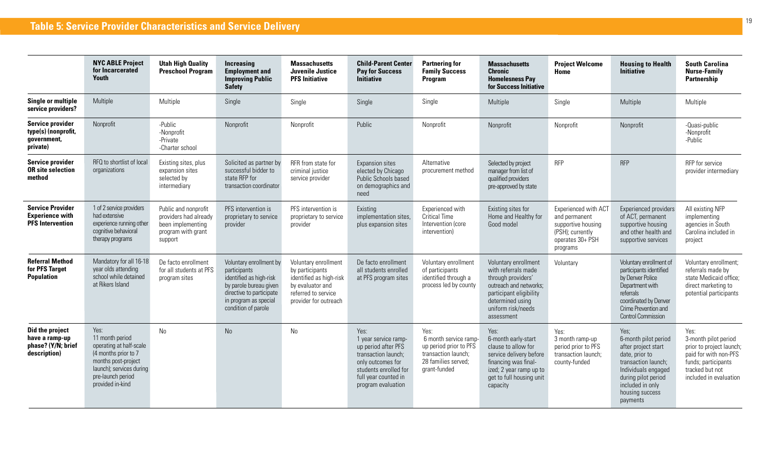|                                                                              | <b>NYC ABLE Project</b><br>for Incarcerated<br>Youth                                                                                                                   | <b>Utah High Quality</b><br><b>Preschool Program</b>                                                | <b>Increasing</b><br><b>Employment and</b><br><b>Improving Public</b><br><b>Safety</b>                                                                                   | <b>Massachusetts</b><br><b>Juvenile Justice</b><br><b>PFS Initiative</b>                                                               | <b>Child-Parent Center</b><br><b>Pay for Success</b><br><b>Initiative</b>                                                                                              | <b>Partnering for</b><br><b>Family Success</b><br>Program                                                             | <b>Massachusetts</b><br><b>Chronic</b><br><b>Homelesness Pay</b><br>for Success Initiative                                                                                     | <b>Project Welcome</b><br>Home                                                                                  | <b>Housing to Health</b><br><b>Initiative</b>                                                                                                                                                 | <b>South Carolina</b><br><b>Nurse-Family</b><br>Partnership                                                                                           |
|------------------------------------------------------------------------------|------------------------------------------------------------------------------------------------------------------------------------------------------------------------|-----------------------------------------------------------------------------------------------------|--------------------------------------------------------------------------------------------------------------------------------------------------------------------------|----------------------------------------------------------------------------------------------------------------------------------------|------------------------------------------------------------------------------------------------------------------------------------------------------------------------|-----------------------------------------------------------------------------------------------------------------------|--------------------------------------------------------------------------------------------------------------------------------------------------------------------------------|-----------------------------------------------------------------------------------------------------------------|-----------------------------------------------------------------------------------------------------------------------------------------------------------------------------------------------|-------------------------------------------------------------------------------------------------------------------------------------------------------|
| <b>Single or multiple</b><br>service providers?                              | Multiple                                                                                                                                                               | Multiple                                                                                            | Single                                                                                                                                                                   | Single                                                                                                                                 | Single                                                                                                                                                                 | Single                                                                                                                | Multiple                                                                                                                                                                       | Single                                                                                                          | Multiple                                                                                                                                                                                      | Multiple                                                                                                                                              |
| <b>Service provider</b><br>type(s) (nonprofit,<br>government,<br>private)    | Nonprofit                                                                                                                                                              | -Public<br>-Nonprofit<br>-Private<br>-Charter school                                                | Nonprofit                                                                                                                                                                | Nonprofit                                                                                                                              | Public                                                                                                                                                                 | Nonprofit                                                                                                             | Nonprofit                                                                                                                                                                      | Nonprofit                                                                                                       | Nonprofit                                                                                                                                                                                     | -Quasi-public<br>-Nonprofit<br>-Public                                                                                                                |
| <b>Service provider</b><br><b>OR site selection</b><br>method                | RFQ to shortlist of local<br>organizations                                                                                                                             | Existing sites, plus<br>expansion sites<br>selected by<br>intermediary                              | Solicited as partner by<br>successful bidder to<br>state RFP for<br>transaction coordinator                                                                              | RFR from state for<br>criminal justice<br>service provider                                                                             | Expansion sites<br>elected by Chicago<br>Public Schools based<br>on demographics and<br>need                                                                           | Alternative<br>procurement method                                                                                     | Selected by project<br>manager from list of<br>qualified providers<br>pre-approved by state                                                                                    | <b>RFP</b>                                                                                                      | <b>RFP</b>                                                                                                                                                                                    | RFP for service<br>provider intermediary                                                                                                              |
| <b>Service Provider</b><br><b>Experience with</b><br><b>PFS</b> Intervention | 1 of 2 service providers<br>had extensive<br>experience running other<br>cognitive behavioral<br>therapy programs                                                      | Public and nonprofit<br>providers had already<br>been implementing<br>program with grant<br>support | PFS intervention is<br>proprietary to service<br>provider                                                                                                                | PFS intervention is<br>proprietary to service<br>provider                                                                              | Existing<br>implementation sites,<br>plus expansion sites                                                                                                              | Experienced with<br><b>Critical Time</b><br>Intervention (core<br>intervention)                                       | Existing sites for<br>Home and Healthy for<br>Good model                                                                                                                       | Experienced with ACT<br>and permanent<br>supportive housing<br>(PSH); currently<br>operates 30+ PSH<br>programs | Experienced providers<br>of ACT, permanent<br>supportive housing<br>and other health and<br>supportive services                                                                               | All existing NFP<br>implementing<br>agencies in South<br>Carolina included in<br>project                                                              |
| <b>Referral Method</b><br>for PFS Target<br><b>Population</b>                | Mandatory for all 16-18<br>year olds attending<br>school while detained<br>at Rikers Island                                                                            | De facto enrollment<br>for all students at PFS<br>program sites                                     | Voluntary enrollment by<br>participants<br>identified as high-risk<br>by parole bureau given<br>directive to participate<br>in program as special<br>condition of parole | Voluntary enrollment<br>by participants<br>identified as high-risk<br>by evaluator and<br>referred to service<br>provider for outreach | De facto enrollment<br>all students enrolled<br>at PFS program sites                                                                                                   | Voluntary enrollment<br>of participants<br>identified through a<br>process led by county                              | Voluntary enrollment<br>with referrals made<br>through providers'<br>outreach and networks;<br>participant eligibility<br>determined using<br>uniform risk/needs<br>assessment | Voluntary                                                                                                       | Voluntary enrollment of<br>participants identified<br>by Denver Police<br>Department with<br>referrals<br>coordinated by Denver<br>Crime Prevention and<br><b>Control Commission</b>          | Voluntary enrollment;<br>referrals made by<br>state Medicaid office;<br>direct marketing to<br>potential participants                                 |
| Did the project<br>have a ramp-up<br>phase? (Y/N; brief<br>description)      | Yes:<br>11 month period<br>operating at half-scale<br>(4 months prior to 7<br>months post-project<br>launch); services during<br>pre-launch period<br>provided in-kind | No                                                                                                  | No                                                                                                                                                                       | No                                                                                                                                     | Yes:<br>1 year service ramp-<br>up period after PFS<br>transaction launch;<br>only outcomes for<br>students enrolled for<br>full year counted in<br>program evaluation | Yes:<br>6 month service ramp-<br>up period prior to PFS<br>transaction launch:<br>28 families served;<br>grant-funded | Yes:<br>6-month early-start<br>clause to allow for<br>service delivery before<br>financing was final-<br>ized; 2 year ramp up to<br>get to full housing unit<br>capacity       | Yes:<br>3 month ramp-up<br>period prior to PFS<br>transaction launch:<br>county-funded                          | Yes;<br>6-month pilot period<br>after project start<br>date, prior to<br>transaction launch;<br>Individuals engaged<br>during pilot period<br>included in only<br>housing success<br>payments | Yes:<br>3-month pilot period<br>prior to project launch;<br>paid for with non-PFS<br>funds; participants<br>tracked but not<br>included in evaluation |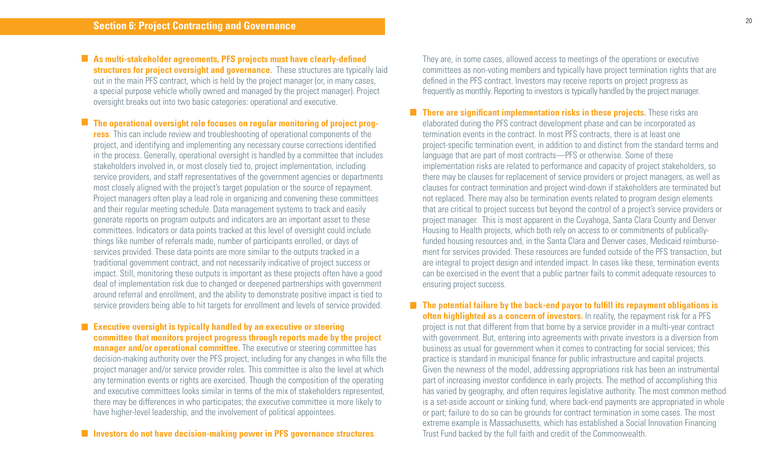**As multi-stakeholder agreements, PFS projects must have clearly-defined structures for project oversight and governance.** These structures are typically laid out in the main PFS contract, which is held by the project manager (or, in many cases, a special purpose vehicle wholly owned and managed by the project manager). Project oversight breaks out into two basic categories: operational and executive.

**The operational oversight role focuses on regular monitoring of project progress**. This can include review and troubleshooting of operational components of the project, and identifying and implementing any necessary course corrections identified in the process. Generally, operational oversight is handled by a committee that includes stakeholders involved in, or most closely tied to, project implementation, including service providers, and staff representatives of the government agencies or departments most closely aligned with the project's target population or the source of repayment. Project managers often play a lead role in organizing and convening these committees and their regular meeting schedule. Data management systems to track and easily generate reports on program outputs and indicators are an important asset to these committees. Indicators or data points tracked at this level of oversight could include things like number of referrals made, number of participants enrolled, or days of services provided. These data points are more similar to the outputs tracked in a traditional government contract, and not necessarily indicative of project success or impact. Still, monitoring these outputs is important as these projects often have a good deal of implementation risk due to changed or deepened partnerships with government around referral and enrollment, and the ability to demonstrate positive impact is tied to service providers being able to hit targets for enrollment and levels of service provided.

**Executive oversight is typically handled by an executive or steering committee that monitors project progress through reports made by the project manager and/or operational committee.** The executive or steering committee has decision-making authority over the PFS project, including for any changes in who fills the project manager and/or service provider roles. This committee is also the level at which any termination events or rights are exercised. Though the composition of the operating and executive committees looks similar in terms of the mix of stakeholders represented, there may be differences in who participates; the executive committee is more likely to have higher-level leadership, and the involvement of political appointees.

They are, in some cases, allowed access to meetings of the operations or executive committees as non-voting members and typically have project termination rights that are defined in the PFS contract. Investors may receive reports on project progress as frequently as monthly. Reporting to investors is typically handled by the project manager.

**There are significant implementation risks in these projects.** These risks are elaborated during the PFS contract development phase and can be incorporated as termination events in the contract. In most PFS contracts, there is at least one project-specific termination event, in addition to and distinct from the standard terms and language that are part of most contracts—PFS or otherwise. Some of these implementation risks are related to performance and capacity of project stakeholders, so there may be clauses for replacement of service providers or project managers, as well as clauses for contract termination and project wind-down if stakeholders are terminated but not replaced. There may also be termination events related to program design elements that are critical to project success but beyond the control of a project's service providers or project manager. This is most apparent in the Cuyahoga, Santa Clara County and Denver Housing to Health projects, which both rely on access to or commitments of publicallyfunded housing resources and, in the Santa Clara and Denver cases, Medicaid reimbursement for services provided. These resources are funded outside of the PFS transaction, but are integral to project design and intended impact. In cases like these, termination events can be exercised in the event that a public partner fails to commit adequate resources to ensuring project success.

■ The potential failure by the back-end payor to fulfill its repayment obligations is **often highlighted as a concern of investors.** In reality, the repayment risk for a PFS project is not that different from that borne by a service provider in a multi-year contract with government. But, entering into agreements with private investors is a diversion from business as usual for government when it comes to contracting for social services; this practice is standard in municipal finance for public infrastructure and capital projects. Given the newness of the model, addressing appropriations risk has been an instrumental part of increasing investor confidence in early projects. The method of accomplishing this has varied by geography, and often requires legislative authority. The most common method is a set-aside account or sinking fund, where back-end payments are appropriated in whole or part; failure to do so can be grounds for contract termination in some cases. The most extreme example is Massachusetts, which has established a Social Innovation Financing Trust Fund backed by the full faith and credit of the Commonwealth.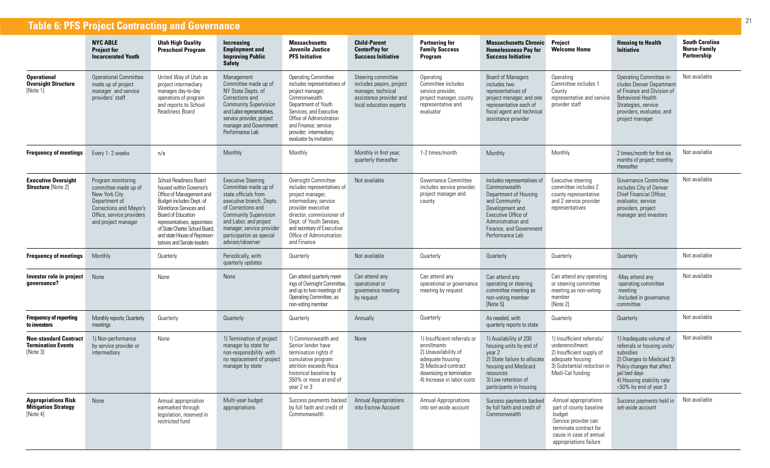|                                                                       | <b>Table 6: PFS Project Contracting and Governance</b>                                                                                                             |                                                                                                                                                                                                                                                                                           |                                                                                                                                                                                                                                                                    |                                                                                                                                                                                                                                                           |                                                                                                                            |                                                                                                                                                                            |                                                                                                                                                                                                     |                                                                                                                                                                     |                                                                                                                                                                                                       |                                                             |  |  |  |  |
|-----------------------------------------------------------------------|--------------------------------------------------------------------------------------------------------------------------------------------------------------------|-------------------------------------------------------------------------------------------------------------------------------------------------------------------------------------------------------------------------------------------------------------------------------------------|--------------------------------------------------------------------------------------------------------------------------------------------------------------------------------------------------------------------------------------------------------------------|-----------------------------------------------------------------------------------------------------------------------------------------------------------------------------------------------------------------------------------------------------------|----------------------------------------------------------------------------------------------------------------------------|----------------------------------------------------------------------------------------------------------------------------------------------------------------------------|-----------------------------------------------------------------------------------------------------------------------------------------------------------------------------------------------------|---------------------------------------------------------------------------------------------------------------------------------------------------------------------|-------------------------------------------------------------------------------------------------------------------------------------------------------------------------------------------------------|-------------------------------------------------------------|--|--|--|--|
|                                                                       | <b>NYC ABLE</b><br><b>Project for</b><br><b>Incarcerated Youth</b>                                                                                                 | <b>Utah High Quality</b><br><b>Preschool Program</b>                                                                                                                                                                                                                                      | Increasing<br><b>Employment and</b><br><b>Improving Public</b><br><b>Safety</b>                                                                                                                                                                                    | <b>Massachusetts</b><br>Juvenile Justice<br><b>PFS Initiative</b>                                                                                                                                                                                         | <b>Child-Parent</b><br><b>CenterPay for</b><br><b>Success Initiative</b>                                                   | <b>Partnering for</b><br><b>Family Success</b><br><b>Program</b>                                                                                                           | <b>Massachusetts Chronic</b><br><b>Homelessness Pay for</b><br><b>Success Initiative</b>                                                                                                            | <b>Project</b><br><b>Welcome Home</b>                                                                                                                               | <b>Housing to Health</b><br><b>Initiative</b>                                                                                                                                                         | <b>South Carolina</b><br><b>Nurse-Family</b><br>Partnership |  |  |  |  |
| <b>Operational</b><br><b>Oversight Structure</b><br>[Note 1]          | <b>Operational Committee</b><br>made up of project<br>manager and service<br>providers' staff                                                                      | United Way of Utah as<br>project intermediary<br>manages day-to-day<br>operations of program<br>and reports to School<br><b>Readiness Board</b>                                                                                                                                           | Management<br>Committee made up of<br>NY State Depts. of<br>Corrections and<br><b>Community Supervision</b><br>and Labor representatives,<br>service provider, project<br>manager and Government<br>Performance Lab                                                | <b>Operating Committee</b><br>includes representatives of<br>project manager;<br>Commonwealth<br>Department of Youth<br>Services, and Executive<br>Office of Administration<br>and Finance; service<br>provider; intermediary;<br>evaluator by invitation | Steering committee<br>includes payors, project<br>manager, technical<br>assistance provider and<br>local education experts | Operating<br>Committee includes<br>service provider,<br>project manager, county<br>representative and<br>evaluator                                                         | Board of Managers<br>includes two<br>representatives of<br>project manager, and one<br>representative each of<br>fiscal agent and technical<br>assistance provider                                  | Operating<br>Committee includes 1<br>County<br>representative and service<br>provider staff                                                                         | Operating Committee in-<br>cludes Denver Department<br>of Finance and Division of<br><b>Behavioral Health</b><br>Strategies, service<br>providers, evaluator, and<br>project manager                  | Not available                                               |  |  |  |  |
| <b>Frequency of meetings</b>                                          | Every 1-2 weeks                                                                                                                                                    | n/a                                                                                                                                                                                                                                                                                       | Monthly                                                                                                                                                                                                                                                            | Monthly                                                                                                                                                                                                                                                   | Monthly in first year,<br>quarterly thereafter                                                                             | 1-2 times/month                                                                                                                                                            | Monthly                                                                                                                                                                                             | Monthly                                                                                                                                                             | 2 times/month for first six<br>months of project; monthly<br>thereafter                                                                                                                               | Not available                                               |  |  |  |  |
| <b>Executive Oversight</b><br><b>Structure [Note 2]</b>               | Program monitoring<br>committee made up of<br>New York City<br>Department of<br><b>Corrections and Mayor's</b><br>Office, service providers<br>and project manager | School Readiness Board<br>housed within Governor's<br>Office of Management and<br>Budget includes Dept. of<br>Workforce Services and<br>Board of Education<br>representatives, appointees<br>of State Charter School Board,<br>and state House of Represen-<br>tatives and Senate leaders | <b>Executive Steering</b><br>Committee made up of<br>state officials from<br>executive branch, Depts.<br>of Corrections and<br><b>Community Supervision</b><br>and Labor, and project<br>manager; service provider<br>participation as special<br>advisor/observer | Oversight Committee<br>includes representatives of<br>project manager,<br>intermediary, service<br>provider executive<br>director, commissioner of<br>Dept. of Youth Services,<br>and secretary of Executive<br>Office of Administration<br>and Finance   | Not available                                                                                                              | Governance Committee<br>includes service provider,<br>project manager and<br>county                                                                                        | Includes representatives of<br>Commonwealth<br>Department of Housing<br>and Community<br>Development and<br>Executive Office of<br>Administration and<br>Finance, and Government<br>Performance Lab | Executive steering<br>committee includes 2<br>county representative<br>and 2 service provider<br>representatives                                                    | Governance Committee<br>includes City of Denver<br>Chief Financial Officer,<br>evaluator, service<br>providers, project<br>manager and investors                                                      | Not available                                               |  |  |  |  |
| <b>Frequency of meetings</b>                                          | Monthly                                                                                                                                                            | Quarterly                                                                                                                                                                                                                                                                                 | Periodically, with<br>quarterly updates                                                                                                                                                                                                                            | Quarterly                                                                                                                                                                                                                                                 | Not available                                                                                                              | Quarterly                                                                                                                                                                  | Quarterly                                                                                                                                                                                           | Quarterly                                                                                                                                                           | Quarterly                                                                                                                                                                                             | Not available                                               |  |  |  |  |
| Investor role in project<br>qovernance?                               | None                                                                                                                                                               | None                                                                                                                                                                                                                                                                                      | None                                                                                                                                                                                                                                                               | Can attend quarterly meet-<br>ings of Oversight Committee,<br>and up to two meetings of<br>Operating Committee, as<br>non-voting member                                                                                                                   | Can attend any<br>operational or<br>governance meeting<br>by request                                                       | Can attend any<br>operational or governance<br>meeting by request                                                                                                          | Can attend any<br>operating or steering<br>committee meeting as<br>non-voting member<br>[Note 5]                                                                                                    | Can attend any operating<br>or steering committee<br>meeting as non-voting<br>member<br>[Note 2]                                                                    | -May attend any<br>operating committee<br>meeting<br>-Included in governance<br>committee                                                                                                             | Not available                                               |  |  |  |  |
| <b>Frequency of reporting</b><br>to investors                         | Monthly reports; Quarterly<br>meetings                                                                                                                             | Quarterly                                                                                                                                                                                                                                                                                 | Quarterly                                                                                                                                                                                                                                                          | Quarterly                                                                                                                                                                                                                                                 | Annually                                                                                                                   | Quarterly                                                                                                                                                                  | As needed, with<br>quarterly reports to state                                                                                                                                                       | Quarterly                                                                                                                                                           | Quarterly                                                                                                                                                                                             | Not available                                               |  |  |  |  |
| <b>Non-standard Contract</b><br><b>Termination Events</b><br>[Note 3] | 1) Non-performance<br>by service provider or<br>intermediary                                                                                                       | None                                                                                                                                                                                                                                                                                      | 1) Termination of project<br>manager by state for<br>non-responsibility with<br>no replacement of project<br>manager by state                                                                                                                                      | 1) Commonwealth and<br>Senior lender have<br>termination rights if<br>cumulative program<br>attrition exceeds Roca<br>historical baseline by<br>350% or more at end of<br>year 2 or 3                                                                     | None                                                                                                                       | 1) Insufficient referrals or<br>enrollments<br>2) Unavailability of<br>adequate housing<br>3) Medicaid contract<br>downsizing or termination<br>4) Increase in labor costs | 1) Availability of 200<br>housing units by end of<br>year 2<br>2) State failure to allocate<br>housing and Medicaid<br>resources<br>3) Low retention of<br>participants in housing                  | 1) Insufficient referrals/<br>underenrollment<br>2) Insufficient supply of<br>adequate housing<br>3) Substantial reduction in<br>Medi-Cal funding                   | 1) Inadequate volume of<br>referrals or housing units/<br>subsidies<br>2) Changes to Medicaid 3)<br>Policy changes that affect<br>jail bed days<br>4) Housing stability rate<br><50% by end of year 3 | Not available                                               |  |  |  |  |
| <b>Appropriations Risk</b><br><b>Mitigation Strategy</b><br>[Note 4]  | None                                                                                                                                                               | Annual appropriation<br>earmarked through<br>legislation, reserved in<br>restricted fund                                                                                                                                                                                                  | Multi-year budget<br>appropriations                                                                                                                                                                                                                                | Success payments backed<br>by full faith and credit of<br>Commonwealth                                                                                                                                                                                    | <b>Annual Appropriations</b><br>into Escrow Account                                                                        | <b>Annual Appropriations</b><br>into set-aside account                                                                                                                     | Success payments backed<br>by full faith and credit of<br>Commonwealth                                                                                                                              | -Annual appropriations<br>part of county baseline<br>budget<br>-Service provider can<br>terminate contract for<br>cause in case of annual<br>appropriations failure | Success payments held in<br>set-aside account                                                                                                                                                         | Not available                                               |  |  |  |  |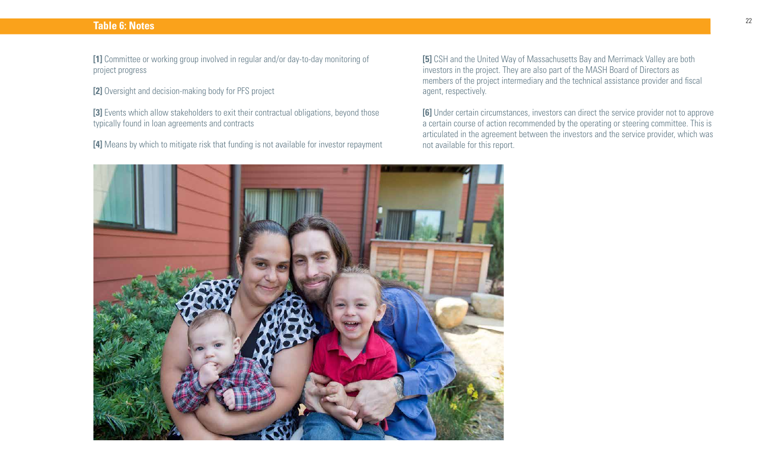### **Table 6: Notes**

**[1]** Committee or working group involved in regular and/or day-to-day monitoring of project progress

**[2]** Oversight and decision-making body for PFS project

[3] Events which allow stakeholders to exit their contractual obligations, beyond those typically found in loan agreements and contracts

**[4]** Means by which to mitigate risk that funding is not available for investor repayment

**[5]** CSH and the United Way of Massachusetts Bay and Merrimack Valley are both investors in the project. They are also part of the MASH Board of Directors as members of the project intermediary and the technical assistance provider and fiscal agent, respectively.

**[6]** Under certain circumstances, investors can direct the service provider not to approve a certain course of action recommended by the operating or steering committee. This is articulated in the agreement between the investors and the service provider, which was not available for this report.

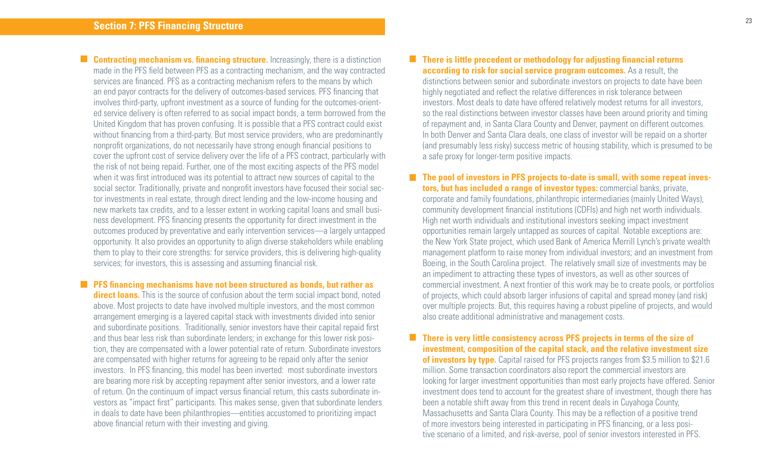23

**Contracting mechanism vs. financing structure.** Increasingly, there is a distinction made in the PFS field between PFS as a contracting mechanism, and the way contracted services are financed. PFS as a contracting mechanism refers to the means by which an end payor contracts for the delivery of outcomes-based services. PFS financing that involves third-party, upfront investment as a source of funding for the outcomes-oriented service delivery is often referred to as social impact bonds, a term borrowed from the United Kingdom that has proven confusing. It is possible that a PFS contract could exist without financing from a third-party. But most service providers, who are predominantly nonprofit organizations, do not necessarily have strong enough financial positions to cover the upfront cost of service delivery over the life of a PFS contract, particularly with the risk of not being repaid. Further, one of the most exciting aspects of the PFS model when it was first introduced was its potential to attract new sources of capital to the social sector. Traditionally, private and nonprofit investors have focused their social sector investments in real estate, through direct lending and the low-income housing and new markets tax credits, and to a lesser extent in working capital loans and small business development. PFS financing presents the opportunity for direct investment in the outcomes produced by preventative and early intervention services—a largely untapped opportunity. It also provides an opportunity to align diverse stakeholders while enabling them to play to their core strengths: for service providers, this is delivering high-quality services; for investors, this is assessing and assuming financial risk.

**PFS financing mechanisms have not been structured as bonds, but rather as direct loans.** This is the source of confusion about the term social impact bond, noted above. Most projects to date have involved multiple investors, and the most common arrangement emerging is a layered capital stack with investments divided into senior and subordinate positions. Traditionally, senior investors have their capital repaid first and thus bear less risk than subordinate lenders; in exchange for this lower risk position, they are compensated with a lower potential rate of return. Subordinate investors are compensated with higher returns for agreeing to be repaid only after the senior investors. In PFS financing, this model has been inverted: most subordinate investors are bearing more risk by accepting repayment after senior investors, and a lower rate of return. On the continuum of impact versus financial return, this casts subordinate investors as "impact first" participants. This makes sense, given that subordinate lenders in deals to date have been philanthropies—entities accustomed to prioritizing impact above financial return with their investing and giving.

### **There is little precedent or methodology for adjusting financial returns according to risk for social service program outcomes.** As a result, the distinctions between senior and subordinate investors on projects to date have been highly negotiated and reflect the relative differences in risk tolerance between investors. Most deals to date have offered relatively modest returns for all investors, so the real distinctions between investor classes have been around priority and timing of repayment and, in Santa Clara County and Denver, payment on different outcomes. In both Denver and Santa Clara deals, one class of investor will be repaid on a shorter (and presumably less risky) success metric of housing stability, which is presumed to be a safe proxy for longer-term positive impacts.

**The pool of investors in PFS projects to-date is small, with some repeat investors, but has included a range of investor types:** commercial banks, private, corporate and family foundations, philanthropic intermediaries (mainly United Ways), community development financial institutions (CDFIs) and high net worth individuals. High net worth individuals and institutional investors seeking impact investment opportunities remain largely untapped as sources of capital. Notable exceptions are: the New York State project, which used Bank of America Merrill Lynch's private wealth management platform to raise money from individual investors; and an investment from Boeing, in the South Carolina project. The relatively small size of investments may be an impediment to attracting these types of investors, as well as other sources of commercial investment. A next frontier of this work may be to create pools, or portfolios of projects, which could absorb larger infusions of capital and spread money (and risk) over multiple projects. But, this requires having a robust pipeline of projects, and would also create additional administrative and management costs.

**There is very little consistency across PFS projects in terms of the size of investment, composition of the capital stack, and the relative investment size of investors by type.** Capital raised for PFS projects ranges from \$3.5 million to \$21.6 million. Some transaction coordinators also report the commercial investors are looking for larger investment opportunities than most early projects have offered. Senior investment does tend to account for the greatest share of investment, though there has been a notable shift away from this trend in recent deals in Cuyahoga County, Massachusetts and Santa Clara County. This may be a reflection of a positive trend of more investors being interested in participating in PFS financing, or a less positive scenario of a limited, and risk-averse, pool of senior investors interested in PFS.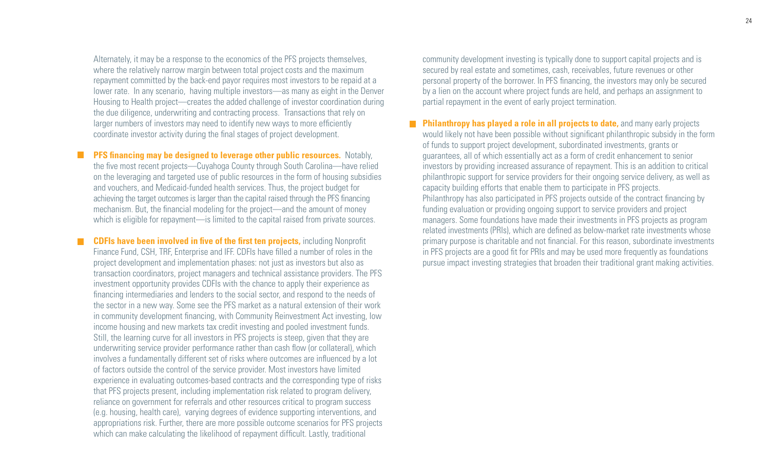Alternately, it may be a response to the economics of the PFS projects themselves, where the relatively narrow margin between total project costs and the maximum repayment committed by the back-end payor requires most investors to be repaid at a lower rate. In any scenario, having multiple investors—as many as eight in the Denver Housing to Health project—creates the added challenge of investor coordination during the due diligence, underwriting and contracting process. Transactions that rely on larger numbers of investors may need to identify new ways to more efficiently coordinate investor activity during the final stages of project development.

M **PFS financing may be designed to leverage other public resources.** Notably, the five most recent projects—Cuyahoga County through South Carolina—have relied on the leveraging and targeted use of public resources in the form of housing subsidies and vouchers, and Medicaid-funded health services. Thus, the project budget for achieving the target outcomes is larger than the capital raised through the PFS financing mechanism. But, the financial modeling for the project—and the amount of money which is eligible for repayment—is limited to the capital raised from private sources.

П

**CDFIs have been involved in five of the first ten projects, including Nonprofit** Finance Fund, CSH, TRF, Enterprise and IFF. CDFIs have filled a number of roles in the project development and implementation phases: not just as investors but also as transaction coordinators, project managers and technical assistance providers. The PFS investment opportunity provides CDFIs with the chance to apply their experience as financing intermediaries and lenders to the social sector, and respond to the needs of the sector in a new way. Some see the PFS market as a natural extension of their work in community development financing, with Community Reinvestment Act investing, low income housing and new markets tax credit investing and pooled investment funds. Still, the learning curve for all investors in PFS projects is steep, given that they are underwriting service provider performance rather than cash flow (or collateral), which involves a fundamentally different set of risks where outcomes are influenced by a lot of factors outside the control of the service provider. Most investors have limited experience in evaluating outcomes-based contracts and the corresponding type of risks that PFS projects present, including implementation risk related to program delivery, reliance on government for referrals and other resources critical to program success (e.g. housing, health care), varying degrees of evidence supporting interventions, and appropriations risk. Further, there are more possible outcome scenarios for PFS projects which can make calculating the likelihood of repayment difficult. Lastly, traditional

community development investing is typically done to support capital projects and is secured by real estate and sometimes, cash, receivables, future revenues or other personal property of the borrower. In PFS financing, the investors may only be secured by a lien on the account where project funds are held, and perhaps an assignment to partial repayment in the event of early project termination.

**Philanthropy has played a role in all projects to date,** and many early projects would likely not have been possible without significant philanthropic subsidy in the form of funds to support project development, subordinated investments, grants or guarantees, all of which essentially act as a form of credit enhancement to senior investors by providing increased assurance of repayment. This is an addition to critical philanthropic support for service providers for their ongoing service delivery, as well as capacity building efforts that enable them to participate in PFS projects. Philanthropy has also participated in PFS projects outside of the contract financing by funding evaluation or providing ongoing support to service providers and project managers. Some foundations have made their investments in PFS projects as program related investments (PRIs), which are defined as below-market rate investments whose primary purpose is charitable and not financial. For this reason, subordinate investments in PFS projects are a good fit for PRIs and may be used more frequently as foundations pursue impact investing strategies that broaden their traditional grant making activities.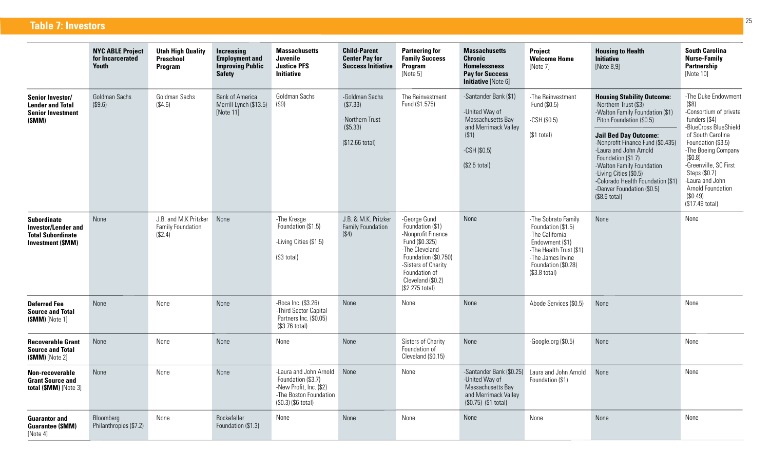**Table 7: Investors**

|                                                                                                          | <b>NYC ABLE Project</b><br>for Incarcerated<br>Youth | <b>Utah High Quality</b><br>Preschool<br>Program      | Increasing<br><b>Employment and</b><br><b>Improving Public</b><br><b>Safety</b> | <b>Massachusetts</b><br><b>Juvenile</b><br><b>Justice PFS</b><br><b>Initiative</b>                                       | <b>Child-Parent</b><br><b>Center Pay for</b><br><b>Success Initiative</b>    | <b>Partnering for</b><br><b>Family Success</b><br>Program<br>[Note 5]                                                                                                                              | <b>Massachusetts</b><br>Chronic<br><b>Homelessness</b><br><b>Pay for Success</b><br>Initiative [Note 6]                         | Project<br><b>Welcome Home</b><br>[Note 7]                                                                                                                              | <b>Housing to Health</b><br><b>Initiative</b><br>[Note 8.9]                                                                                                                                                                                                                                                                                                                               | <b>South Carolina</b><br><b>Nurse-Family</b><br>Partnership<br>[Note 10]                                                                                                                                                                                                                     |
|----------------------------------------------------------------------------------------------------------|------------------------------------------------------|-------------------------------------------------------|---------------------------------------------------------------------------------|--------------------------------------------------------------------------------------------------------------------------|------------------------------------------------------------------------------|----------------------------------------------------------------------------------------------------------------------------------------------------------------------------------------------------|---------------------------------------------------------------------------------------------------------------------------------|-------------------------------------------------------------------------------------------------------------------------------------------------------------------------|-------------------------------------------------------------------------------------------------------------------------------------------------------------------------------------------------------------------------------------------------------------------------------------------------------------------------------------------------------------------------------------------|----------------------------------------------------------------------------------------------------------------------------------------------------------------------------------------------------------------------------------------------------------------------------------------------|
| <b>Senior Investor/</b><br><b>Lender and Total</b><br><b>Senior Investment</b><br>(SMM)                  | Goldman Sachs<br>(\$9.6)                             | Goldman Sachs<br>(\$4.6)                              | <b>Bank of America</b><br>Merrill Lynch (\$13.5)<br>[Note 11]                   | Goldman Sachs<br>(\$9)                                                                                                   | -Goldman Sachs<br>(\$7.33)<br>-Northern Trust<br>(\$5.33)<br>(\$12.66 total) | The Reinvestment<br>Fund (\$1.575)                                                                                                                                                                 | -Santander Bank (\$1)<br>-United Way of<br>Massachusetts Bay<br>and Merrimack Valley<br>(S1)<br>$-CSH$ (\$0.5)<br>(\$2.5 total) | -The Reinvestment<br>Fund (\$0.5)<br>$-CSH(S0.5)$<br>$($1$ total)                                                                                                       | <b>Housing Stability Outcome:</b><br>-Northern Trust (\$3)<br>-Walton Family Foundation (\$1)<br>Piton Foundation (\$0.5)<br><b>Jail Bed Day Outcome:</b><br>-Nonprofit Finance Fund (\$0.435)<br>-Laura and John Arnold<br>Foundation (\$1.7)<br>-Walton Family Foundation<br>-Living Cities (\$0.5)<br>-Colorado Health Foundation (\$1)<br>-Denver Foundation (\$0.5)<br>(\$8.6 total) | -The Duke Endowment<br>(S8)<br>-Consortium of private<br>funders (\$4)<br>-BlueCross BlueShield<br>of South Carolina<br>Foundation (\$3.5)<br>-The Boeing Company<br>(S0.8)<br>-Greenville, SC First<br>Steps (\$0.7)<br>-Laura and John<br>Arnold Foundation<br>(\$0.49)<br>(\$17.49 total) |
| <b>Subordinate</b><br><b>Investor/Lender and</b><br><b>Total Subordinate</b><br><b>Investment (\$MM)</b> | None                                                 | J.B. and M.K Pritzker<br>Family Foundation<br>(\$2.4) | None                                                                            | -The Kresge<br>Foundation (\$1.5)<br>-Living Cities (\$1.5)<br>(\$3 total)                                               | J.B. & M.K. Pritzker<br><b>Family Foundation</b><br>$($ \$4)                 | -George Gund<br>Foundation (\$1)<br>-Nonprofit Finance<br>Fund (\$0.325)<br>-The Cleveland<br>Foundation (\$0.750)<br>-Sisters of Charity<br>Foundation of<br>Cleveland (\$0.2)<br>(\$2.275 total) | None                                                                                                                            | -The Sobrato Family<br>Foundation (\$1.5)<br>-The California<br>Endowment (\$1)<br>-The Health Trust (\$1)<br>-The James Irvine<br>Foundation (\$0.28)<br>(\$3.8 total) | None                                                                                                                                                                                                                                                                                                                                                                                      | None                                                                                                                                                                                                                                                                                         |
| <b>Deferred Fee</b><br><b>Source and Total</b><br>$(SMM)$ [Note 1]                                       | None                                                 | None                                                  | None                                                                            | -Roca Inc. (\$3.26)<br>-Third Sector Capital<br>Partners Inc. (\$0.05)<br>$(S3.76 \text{ total})$                        | None                                                                         | None                                                                                                                                                                                               | None                                                                                                                            | Abode Services (\$0.5)                                                                                                                                                  | None                                                                                                                                                                                                                                                                                                                                                                                      | None                                                                                                                                                                                                                                                                                         |
| <b>Recoverable Grant</b><br><b>Source and Total</b><br>$(SMM)$ [Note 2]                                  | None                                                 | None                                                  | <b>None</b>                                                                     | None                                                                                                                     | None                                                                         | Sisters of Charity<br>Foundation of<br>Cleveland (\$0.15)                                                                                                                                          | None                                                                                                                            | $-Google.org ($0.5)$                                                                                                                                                    | None                                                                                                                                                                                                                                                                                                                                                                                      | None                                                                                                                                                                                                                                                                                         |
| Non-recoverable<br><b>Grant Source and</b><br>total (\$MM) [Note 3]                                      | None                                                 | None                                                  | None                                                                            | -Laura and John Arnold<br>Foundation (\$3.7)<br>-New Profit, Inc. (\$2)<br>-The Boston Foundation<br>(\$0.3) (\$6 total) | None                                                                         | None                                                                                                                                                                                               | -Santander Bank (\$0.25)<br>-United Way of<br>Massachusetts Bay<br>and Merrimack Valley<br>(\$0.75) (\$1 total)                 | Laura and John Arnold<br>Foundation (\$1)                                                                                                                               | None                                                                                                                                                                                                                                                                                                                                                                                      | None                                                                                                                                                                                                                                                                                         |
| <b>Guarantor and</b><br><b>Guarantee (SMM)</b><br>[Note 4]                                               | Bloomberg<br>Philanthropies (\$7.2)                  | None                                                  | Rockefeller<br>Foundation (\$1.3)                                               | None                                                                                                                     | None                                                                         | None                                                                                                                                                                                               | None                                                                                                                            | None                                                                                                                                                                    | <b>None</b>                                                                                                                                                                                                                                                                                                                                                                               | None                                                                                                                                                                                                                                                                                         |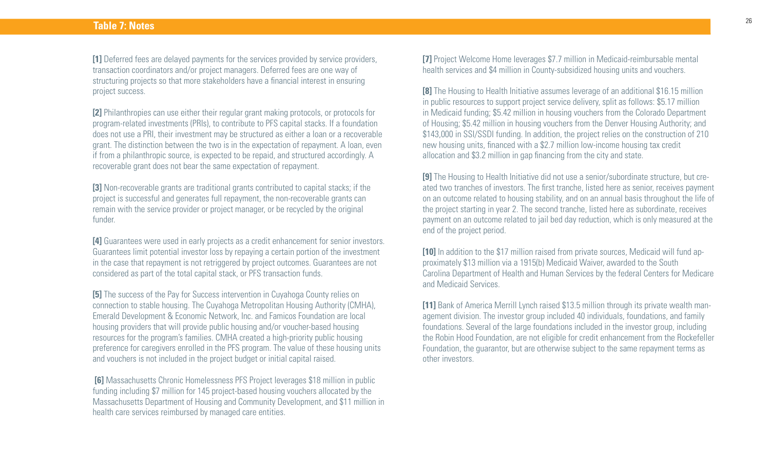**[1]** Deferred fees are delayed payments for the services provided by service providers, transaction coordinators and/or project managers. Deferred fees are one way of structuring projects so that more stakeholders have a financial interest in ensuring project success.

**[2]** Philanthropies can use either their regular grant making protocols, or protocols for program-related investments (PRIs), to contribute to PFS capital stacks. If a foundation does not use a PRI, their investment may be structured as either a loan or a recoverable grant. The distinction between the two is in the expectation of repayment. A loan, even if from a philanthropic source, is expected to be repaid, and structured accordingly. A recoverable grant does not bear the same expectation of repayment.

**[3]** Non-recoverable grants are traditional grants contributed to capital stacks; if the project is successful and generates full repayment, the non-recoverable grants can remain with the service provider or project manager, or be recycled by the original funder.

**[4]** Guarantees were used in early projects as a credit enhancement for senior investors. Guarantees limit potential investor loss by repaying a certain portion of the investment in the case that repayment is not retriggered by project outcomes. Guarantees are not considered as part of the total capital stack, or PFS transaction funds.

**[5]** The success of the Pay for Success intervention in Cuyahoga County relies on connection to stable housing. The Cuyahoga Metropolitan Housing Authority (CMHA), Emerald Development & Economic Network, Inc. and Famicos Foundation are local housing providers that will provide public housing and/or voucher-based housing resources for the program's families. CMHA created a high-priority public housing preference for caregivers enrolled in the PFS program. The value of these housing units and vouchers is not included in the project budget or initial capital raised.

 **[6]** Massachusetts Chronic Homelessness PFS Project leverages \$18 million in public funding including \$7 million for 145 project-based housing vouchers allocated by the Massachusetts Department of Housing and Community Development, and \$11 million in health care services reimbursed by managed care entities.

**[7]** Project Welcome Home leverages \$7.7 million in Medicaid-reimbursable mental health services and \$4 million in County-subsidized housing units and vouchers.

**[8]** The Housing to Health Initiative assumes leverage of an additional \$16.15 million in public resources to support project service delivery, split as follows: \$5.17 million in Medicaid funding; \$5.42 million in housing vouchers from the Colorado Department of Housing; \$5.42 million in housing vouchers from the Denver Housing Authority; and \$143,000 in SSI/SSDI funding. In addition, the project relies on the construction of 210 new housing units, financed with a \$2.7 million low-income housing tax credit allocation and \$3.2 million in gap financing from the city and state.

**[9]** The Housing to Health Initiative did not use a senior/subordinate structure, but created two tranches of investors. The first tranche, listed here as senior, receives payment on an outcome related to housing stability, and on an annual basis throughout the life of the project starting in year 2. The second tranche, listed here as subordinate, receives payment on an outcome related to jail bed day reduction, which is only measured at the end of the project period.

**[10]** In addition to the \$17 million raised from private sources, Medicaid will fund approximately \$13 million via a 1915(b) Medicaid Waiver, awarded to the South Carolina Department of Health and Human Services by the federal Centers for Medicare and Medicaid Services.

**[11]** Bank of America Merrill Lynch raised \$13.5 million through its private wealth management division. The investor group included 40 individuals, foundations, and family foundations. Several of the large foundations included in the investor group, including the Robin Hood Foundation, are not eligible for credit enhancement from the Rockefeller Foundation, the guarantor, but are otherwise subject to the same repayment terms as other investors.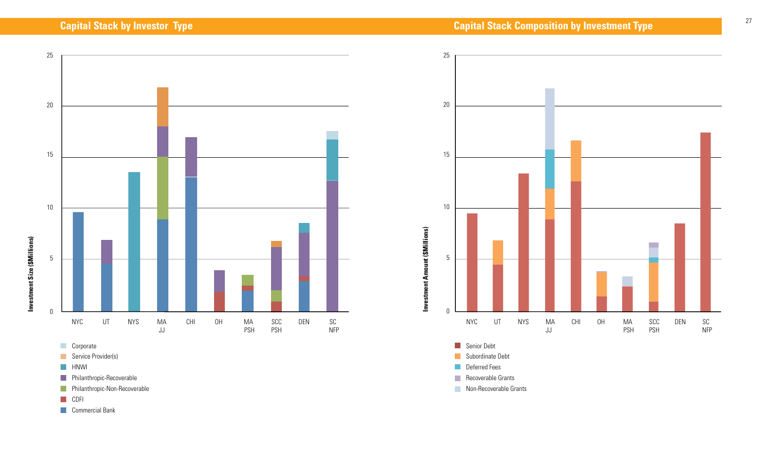

- **Corporate**
- Service Provider(s)
- **HNWI**
- **Philanthropic-Recoverable**
- **Philanthropic-Non-Recoverable**
- **CDFI**
- **Commercial Bank**



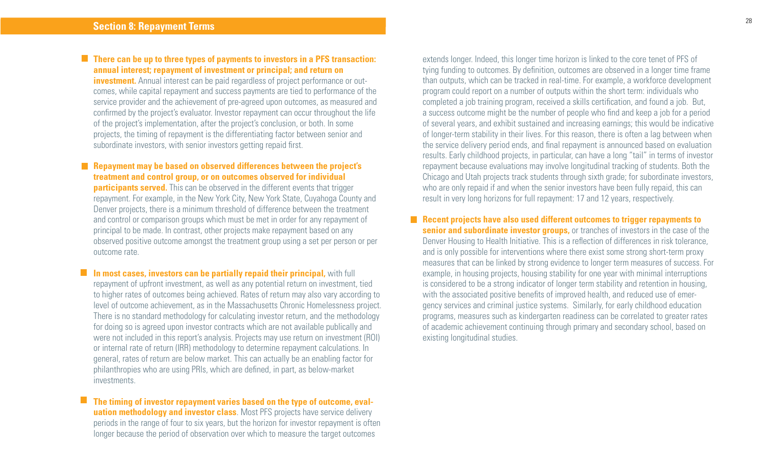### **There can be up to three types of payments to investors in a PFS transaction: annual interest; repayment of investment or principal; and return on**

**investment.** Annual interest can be paid regardless of project performance or outcomes, while capital repayment and success payments are tied to performance of the service provider and the achievement of pre-agreed upon outcomes, as measured and confirmed by the project's evaluator. Investor repayment can occur throughout the life of the project's implementation, after the project's conclusion, or both. In some projects, the timing of repayment is the differentiating factor between senior and subordinate investors, with senior investors getting repaid first.

### **Repayment may be based on observed differences between the project's treatment and control group, or on outcomes observed for individual**

**participants served.** This can be observed in the different events that trigger repayment. For example, in the New York City, New York State, Cuyahoga County and Denver projects, there is a minimum threshold of difference between the treatment and control or comparison groups which must be met in order for any repayment of principal to be made. In contrast, other projects make repayment based on any observed positive outcome amongst the treatment group using a set per person or per outcome rate.

**In most cases, investors can be partially repaid their principal, with full** repayment of upfront investment, as well as any potential return on investment, tied to higher rates of outcomes being achieved. Rates of return may also vary according to level of outcome achievement, as in the Massachusetts Chronic Homelessness project. There is no standard methodology for calculating investor return, and the methodology for doing so is agreed upon investor contracts which are not available publically and were not included in this report's analysis. Projects may use return on investment (ROI) or internal rate of return (IRR) methodology to determine repayment calculations. In general, rates of return are below market. This can actually be an enabling factor for philanthropies who are using PRIs, which are defined, in part, as below-market investments.

**The timing of investor repayment varies based on the type of outcome, evaluation methodology and investor class**. Most PFS projects have service delivery periods in the range of four to six years, but the horizon for investor repayment is often longer because the period of observation over which to measure the target outcomes

extends longer. Indeed, this longer time horizon is linked to the core tenet of PFS of tying funding to outcomes. By definition, outcomes are observed in a longer time frame than outputs, which can be tracked in real-time. For example, a workforce development program could report on a number of outputs within the short term: individuals who completed a job training program, received a skills certification, and found a job. But, a success outcome might be the number of people who find and keep a job for a period of several years, and exhibit sustained and increasing earnings; this would be indicative of longer-term stability in their lives. For this reason, there is often a lag between when the service delivery period ends, and final repayment is announced based on evaluation results. Early childhood projects, in particular, can have a long "tail" in terms of investor repayment because evaluations may involve longitudinal tracking of students. Both the Chicago and Utah projects track students through sixth grade; for subordinate investors, who are only repaid if and when the senior investors have been fully repaid, this can result in very long horizons for full repayment: 17 and 12 years, respectively.

### **Recent projects have also used different outcomes to trigger repayments to senior and subordinate investor groups,** or tranches of investors in the case of the Denver Housing to Health Initiative. This is a reflection of differences in risk tolerance, and is only possible for interventions where there exist some strong short-term proxy measures that can be linked by strong evidence to longer term measures of success. For example, in housing projects, housing stability for one year with minimal interruptions is considered to be a strong indicator of longer term stability and retention in housing, with the associated positive benefits of improved health, and reduced use of emergency services and criminal justice systems. Similarly, for early childhood education programs, measures such as kindergarten readiness can be correlated to greater rates of academic achievement continuing through primary and secondary school, based on existing longitudinal studies.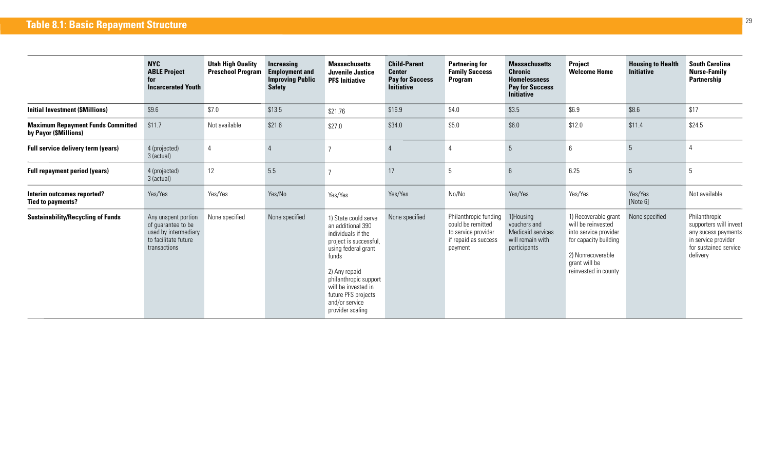|                                                                   | <b>NYC</b><br><b>ABLE Project</b><br>for<br><b>Incarcerated Youth</b>                                     | <b>Utah High Quality</b><br><b>Preschool Program</b> | <b>Increasing</b><br><b>Employment and</b><br><b>Improving Public</b><br><b>Safety</b> | <b>Massachusetts</b><br>Juvenile Justice<br><b>PFS Initiative</b>                                                                                                                                                                                       | <b>Child-Parent</b><br><b>Center</b><br><b>Pay for Success</b><br><b>Initiative</b> | <b>Partnering for</b><br><b>Family Success</b><br><b>Program</b>                                     | <b>Massachusetts</b><br><b>Chronic</b><br><b>Homelessness</b><br><b>Pay for Success</b><br><b>Initiative</b> | <b>Project</b><br><b>Welcome Home</b>                                                                                                                      | <b>Housing to Health</b><br><b>Initiative</b> | <b>South Carolina</b><br><b>Nurse-Family</b><br>Partnership                                                                |
|-------------------------------------------------------------------|-----------------------------------------------------------------------------------------------------------|------------------------------------------------------|----------------------------------------------------------------------------------------|---------------------------------------------------------------------------------------------------------------------------------------------------------------------------------------------------------------------------------------------------------|-------------------------------------------------------------------------------------|------------------------------------------------------------------------------------------------------|--------------------------------------------------------------------------------------------------------------|------------------------------------------------------------------------------------------------------------------------------------------------------------|-----------------------------------------------|----------------------------------------------------------------------------------------------------------------------------|
| <b>Initial Investment (\$Millions)</b>                            | \$9.6                                                                                                     | \$7.0                                                | \$13.5                                                                                 | \$21.76                                                                                                                                                                                                                                                 | \$16.9                                                                              | \$4.0                                                                                                | \$3.5                                                                                                        | \$6.9                                                                                                                                                      | \$8.6                                         | \$17                                                                                                                       |
| <b>Maximum Repayment Funds Committed</b><br>by Payor (\$Millions) | \$11.7                                                                                                    | Not available                                        | \$21.6                                                                                 | \$27.0                                                                                                                                                                                                                                                  | \$34.0                                                                              | \$5.0                                                                                                | \$6.0                                                                                                        | \$12.0                                                                                                                                                     | \$11.4                                        | \$24.5                                                                                                                     |
| Full service delivery term (years)                                | 4 (projected)<br>3 (actual)                                                                               | $\overline{4}$                                       |                                                                                        | $\overline{ }$                                                                                                                                                                                                                                          | $\overline{4}$                                                                      | 4                                                                                                    | 5                                                                                                            | 6                                                                                                                                                          | 5                                             | 4                                                                                                                          |
| <b>Full repayment period (years)</b>                              | 4 (projected)<br>3 (actual)                                                                               | 12                                                   | 5.5                                                                                    | 7                                                                                                                                                                                                                                                       | 17                                                                                  | 5                                                                                                    | $6\overline{6}$                                                                                              | 6.25                                                                                                                                                       | $5\phantom{.0}$                               | 5                                                                                                                          |
| Interim outcomes reported?<br><b>Tied to payments?</b>            | Yes/Yes                                                                                                   | Yes/Yes                                              | Yes/No                                                                                 | Yes/Yes                                                                                                                                                                                                                                                 | Yes/Yes                                                                             | No/No                                                                                                | Yes/Yes                                                                                                      | Yes/Yes                                                                                                                                                    | Yes/Yes<br>[Note 6]                           | Not available                                                                                                              |
| <b>Sustainability/Recycling of Funds</b>                          | Any unspent portion<br>of quarantee to be<br>used by intermediary<br>to facilitate future<br>transactions | None specified                                       | None specified                                                                         | 1) State could serve<br>an additional 390<br>individuals if the<br>project is successful,<br>using federal grant<br>funds<br>2) Any repaid<br>philanthropic support<br>will be invested in<br>future PFS projects<br>and/or service<br>provider scaling | None specified                                                                      | Philanthropic funding<br>could be remitted<br>to service provider<br>if repaid as success<br>payment | 1)Housing<br>vouchers and<br>Medicaid services<br>will remain with<br>participants                           | 1) Recoverable grant<br>will be reinvested<br>into service provider<br>for capacity building<br>2) Nonrecoverable<br>grant will be<br>reinvested in county | None specified                                | Philanthropic<br>supporters will invest<br>any sucess payments<br>in service provider<br>for sustained service<br>delivery |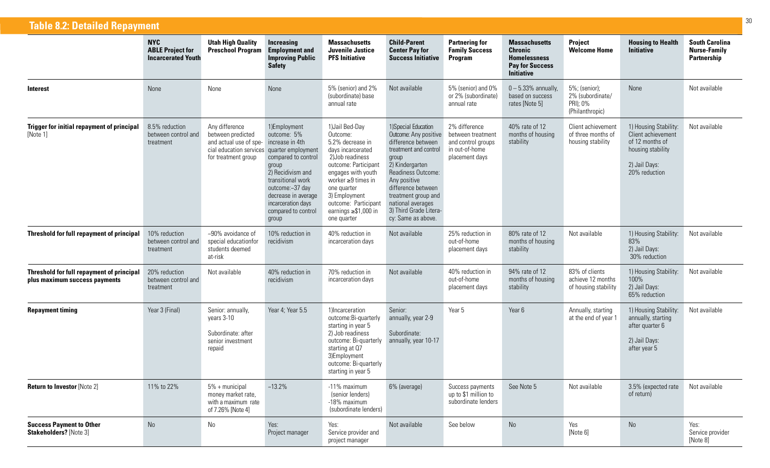| <b>Table 8.2: Detailed Repayment</b>                                       |                                                                    |                                                                                                                                    |                                                                                                                                                                                                                          |                                                                                                                                                                                                                                                                         |                                                                                                                                                                                                                                                                                 |                                                                                              |                                                                                                              |                                                                  |                                                                                                                       |                                                             |
|----------------------------------------------------------------------------|--------------------------------------------------------------------|------------------------------------------------------------------------------------------------------------------------------------|--------------------------------------------------------------------------------------------------------------------------------------------------------------------------------------------------------------------------|-------------------------------------------------------------------------------------------------------------------------------------------------------------------------------------------------------------------------------------------------------------------------|---------------------------------------------------------------------------------------------------------------------------------------------------------------------------------------------------------------------------------------------------------------------------------|----------------------------------------------------------------------------------------------|--------------------------------------------------------------------------------------------------------------|------------------------------------------------------------------|-----------------------------------------------------------------------------------------------------------------------|-------------------------------------------------------------|
|                                                                            | <b>NYC</b><br><b>ABLE Project for</b><br><b>Incarcerated Youth</b> | <b>Utah High Quality</b><br><b>Preschool Program</b>                                                                               | Increasing<br><b>Employment and</b><br><b>Improving Public</b><br><b>Safety</b>                                                                                                                                          | <b>Massachusetts</b><br>Juvenile Justice<br><b>PFS Initiative</b>                                                                                                                                                                                                       | <b>Child-Parent</b><br><b>Center Pay for</b><br><b>Success Initiative</b>                                                                                                                                                                                                       | <b>Partnering for</b><br><b>Family Success</b><br><b>Program</b>                             | <b>Massachusetts</b><br><b>Chronic</b><br><b>Homelessness</b><br><b>Pay for Success</b><br><b>Initiative</b> | Project<br><b>Welcome Home</b>                                   | <b>Housing to Health</b><br><b>Initiative</b>                                                                         | <b>South Carolina</b><br><b>Nurse-Family</b><br>Partnership |
| <b>Interest</b>                                                            | None                                                               | None                                                                                                                               | None                                                                                                                                                                                                                     | 5% (senior) and 2%<br>(subordinate) base<br>annual rate                                                                                                                                                                                                                 | Not available                                                                                                                                                                                                                                                                   | 5% (senior) and 0%<br>or 2% (subordinate)<br>annual rate                                     | $0-5.33%$ annually,<br>based on success<br>rates [Note 5]                                                    | 5%; (senior);<br>2% (subordinate/<br>PRI); 0%<br>(Philanthropic) | None                                                                                                                  | Not available                                               |
| <b>Trigger for initial repayment of principal</b><br>[Note 1]              | 8.5% reduction<br>between control and<br>treatment                 | Any difference<br>between predicted<br>and actual use of spe-<br>cial education services quarter employment<br>for treatment group | 1)Employment<br>outcome: 5%<br>increase in 4th<br>compared to control<br>group<br>2) Recidivism and<br>transitional work<br>outcome:~37 day<br>decrease in average<br>incarceration days<br>compared to control<br>group | 1) Jail Bed-Day<br>Outcome:<br>5.2% decrease in<br>days incarcerated<br>2) Job readiness<br>outcome: Participant<br>engages with youth<br>worker $\geq 9$ times in<br>one quarter<br>3) Employment<br>outcome: Participant<br>earnings $\geq$ \$1,000 in<br>one quarter | 1)Special Education<br>Outcome: Any positive<br>difference between<br>treatment and control<br>group<br>2) Kindergarten<br>Readiness Outcome:<br>Any positive<br>difference between<br>treatment group and<br>national averages<br>3) Third Grade Litera-<br>cy: Same as above. | 2% difference<br>between treatment<br>and control groups<br>in out-of-home<br>placement days | 40% rate of 12<br>months of housing<br>stability                                                             | Client achievement<br>of three months of<br>housing stability    | 1) Housing Stability:<br>Client achievement<br>of 12 months of<br>housing stability<br>2) Jail Days:<br>20% reduction | Not available                                               |
| Threshold for full repayment of principal                                  | 10% reduction<br>between control and<br>treatment                  | ~90% avoidance of<br>special educationfor<br>students deemed<br>at-risk                                                            | 10% reduction in<br>recidivism                                                                                                                                                                                           | 40% reduction in<br>incarceration days                                                                                                                                                                                                                                  | Not available                                                                                                                                                                                                                                                                   | 25% reduction in<br>out-of-home<br>placement days                                            | 80% rate of 12<br>months of housing<br>stability                                                             | Not available                                                    | 1) Housing Stability:<br>83%<br>2) Jail Days:<br>30% reduction                                                        | Not available                                               |
| Threshold for full repayment of principal<br>plus maximum success payments | 20% reduction<br>between control and<br>treatment                  | Not available                                                                                                                      | 40% reduction in<br>recidivism                                                                                                                                                                                           | 70% reduction in<br>incarceration days                                                                                                                                                                                                                                  | Not available                                                                                                                                                                                                                                                                   | 40% reduction in<br>out-of-home<br>placement days                                            | 94% rate of 12<br>months of housing<br>stability                                                             | 83% of clients<br>achieve 12 months<br>of housing stability      | 1) Housing Stability:<br>100%<br>2) Jail Days:<br>65% reduction                                                       | Not available                                               |
| <b>Repayment timing</b>                                                    | Year 3 (Final)                                                     | Senior: annually,<br>years 3-10<br>Subordinate: after<br>senior investment<br>repaid                                               | Year 4; Year 5.5                                                                                                                                                                                                         | 1)Incarceration<br>outcome:Bi-quarterly<br>starting in year 5<br>2) Job readiness<br>outcome: Bi-quarterly<br>starting at Q7<br>3)Employment<br>outcome: Bi-quarterly<br>starting in year 5                                                                             | Senior:<br>annually, year 2-9<br>Subordinate:<br>annually, year 10-17                                                                                                                                                                                                           | Year 5                                                                                       | Year 6                                                                                                       | Annually, starting<br>at the end of year 1                       | 1) Housing Stability:<br>annually, starting<br>after quarter 6<br>2) Jail Days:<br>after year 5                       | Not available                                               |
| <b>Return to Investor [Note 2]</b>                                         | 11% to 22%                                                         | $5% +$ municipal<br>money market rate,<br>with a maximum rate<br>of 7.26% [Note 4]                                                 | $~13.2\%$                                                                                                                                                                                                                | -11% maximum<br>(senior lenders)<br>-18% maximum<br>(subordinate lenders)                                                                                                                                                                                               | 6% (average)                                                                                                                                                                                                                                                                    | Success payments<br>up to \$1 million to<br>subordinate lenders                              | See Note 5                                                                                                   | Not available                                                    | 3.5% (expected rate<br>of return)                                                                                     | Not available                                               |
| <b>Success Payment to Other</b><br>Stakeholders? [Note 3]                  | No                                                                 | $\rm No$                                                                                                                           | Yes:<br>Project manager                                                                                                                                                                                                  | Yes:<br>Service provider and<br>project manager                                                                                                                                                                                                                         | Not available                                                                                                                                                                                                                                                                   | See below                                                                                    | No                                                                                                           | Yes<br>[Note 6]                                                  | No                                                                                                                    | Yes:<br>Service provider<br>[Note 8]                        |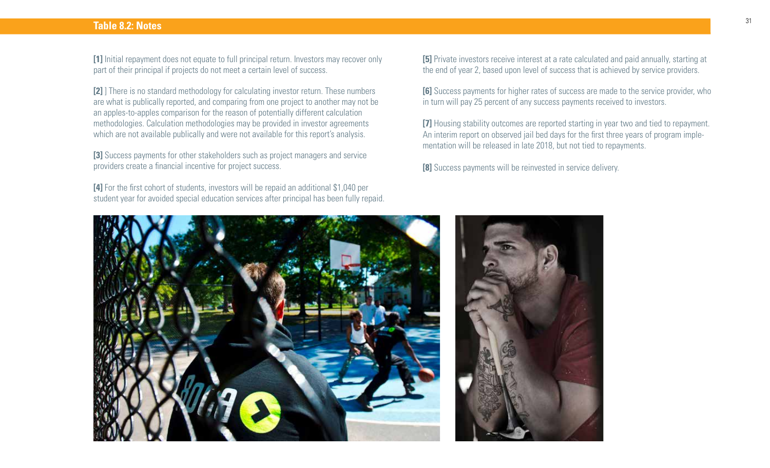### **Table 8.2: Notes**

**[1]** Initial repayment does not equate to full principal return. Investors may recover only part of their principal if projects do not meet a certain level of success.

**[2]** ] There is no standard methodology for calculating investor return. These numbers are what is publically reported, and comparing from one project to another may not be an apples-to-apples comparison for the reason of potentially different calculation methodologies. Calculation methodologies may be provided in investor agreements which are not available publically and were not available for this report's analysis.

**[3]** Success payments for other stakeholders such as project managers and service providers create a financial incentive for project success.

**[4]** For the first cohort of students, investors will be repaid an additional \$1,040 per student year for avoided special education services after principal has been fully repaid.

**[5]** Private investors receive interest at a rate calculated and paid annually, starting at the end of year 2, based upon level of success that is achieved by service providers.

**[6]** Success payments for higher rates of success are made to the service provider, who in turn will pay 25 percent of any success payments received to investors.

**[7]** Housing stability outcomes are reported starting in year two and tied to repayment. An interim report on observed jail bed days for the first three years of program implementation will be released in late 2018, but not tied to repayments.

**[8]** Success payments will be reinvested in service delivery.



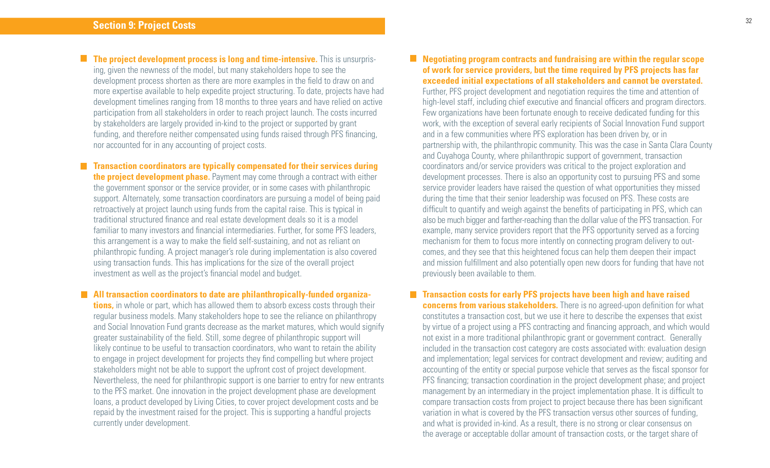**The project development process is long and time-intensive.** This is unsurprising, given the newness of the model, but many stakeholders hope to see the development process shorten as there are more examples in the field to draw on and more expertise available to help expedite project structuring. To date, projects have had development timelines ranging from 18 months to three years and have relied on active participation from all stakeholders in order to reach project launch. The costs incurred by stakeholders are largely provided in-kind to the project or supported by grant funding, and therefore neither compensated using funds raised through PFS financing, nor accounted for in any accounting of project costs.

**Transaction coordinators are typically compensated for their services during the project development phase.** Payment may come through a contract with either the government sponsor or the service provider, or in some cases with philanthropic support. Alternately, some transaction coordinators are pursuing a model of being paid retroactively at project launch using funds from the capital raise. This is typical in traditional structured finance and real estate development deals so it is a model familiar to many investors and financial intermediaries. Further, for some PFS leaders, this arrangement is a way to make the field self-sustaining, and not as reliant on philanthropic funding. A project manager's role during implementation is also covered using transaction funds. This has implications for the size of the overall project investment as well as the project's financial model and budget.

### **All transaction coordinators to date are philanthropically-funded organiza-**

**tions,** in whole or part, which has allowed them to absorb excess costs through their regular business models. Many stakeholders hope to see the reliance on philanthropy and Social Innovation Fund grants decrease as the market matures, which would signify greater sustainability of the field. Still, some degree of philanthropic support will likely continue to be useful to transaction coordinators, who want to retain the ability to engage in project development for projects they find compelling but where project stakeholders might not be able to support the upfront cost of project development. Nevertheless, the need for philanthropic support is one barrier to entry for new entrants to the PFS market. One innovation in the project development phase are development loans, a product developed by Living Cities, to cover project development costs and be repaid by the investment raised for the project. This is supporting a handful projects currently under development.

### **Negotiating program contracts and fundraising are within the regular scope of work for service providers, but the time required by PFS projects has far exceeded initial expectations of all stakeholders and cannot be overstated.**

Further, PFS project development and negotiation requires the time and attention of high-level staff, including chief executive and financial officers and program directors. Few organizations have been fortunate enough to receive dedicated funding for this work, with the exception of several early recipients of Social Innovation Fund support and in a few communities where PFS exploration has been driven by, or in partnership with, the philanthropic community. This was the case in Santa Clara County and Cuyahoga County, where philanthropic support of government, transaction coordinators and/or service providers was critical to the project exploration and development processes. There is also an opportunity cost to pursuing PFS and some service provider leaders have raised the question of what opportunities they missed during the time that their senior leadership was focused on PFS. These costs are difficult to quantify and weigh against the benefits of participating in PFS, which can also be much bigger and farther-reaching than the dollar value of the PFS transaction. For example, many service providers report that the PFS opportunity served as a forcing mechanism for them to focus more intently on connecting program delivery to outcomes, and they see that this heightened focus can help them deepen their impact and mission fulfillment and also potentially open new doors for funding that have not previously been available to them.

### **Transaction costs for early PFS projects have been high and have raised**

**concerns from various stakeholders.** There is no agreed-upon definition for what constitutes a transaction cost, but we use it here to describe the expenses that exist by virtue of a project using a PFS contracting and financing approach, and which would not exist in a more traditional philanthropic grant or government contract. Generally included in the transaction cost category are costs associated with: evaluation design and implementation; legal services for contract development and review; auditing and accounting of the entity or special purpose vehicle that serves as the fiscal sponsor for PFS financing; transaction coordination in the project development phase; and project management by an intermediary in the project implementation phase. It is difficult to compare transaction costs from project to project because there has been significant variation in what is covered by the PFS transaction versus other sources of funding, and what is provided in-kind. As a result, there is no strong or clear consensus on the average or acceptable dollar amount of transaction costs, or the target share of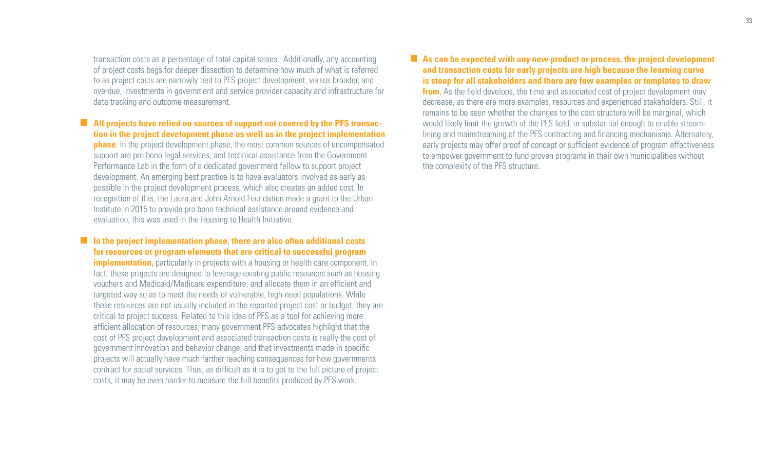transaction costs as a percentage of total capital raises. Additionally, any accounting of project costs begs for deeper dissection to determine how much of what is referred to as project costs are narrowly tied to PFS project development, versus broader, and overdue, investments in government and service provider capacity and infrastructure for data tracking and outcome measurement.

**All projects have relied on sources of support not covered by the PFS transaction in the project development phase as well as in the project implementation phase**. In the project development phase, the most common sources of uncompensated support are pro bono legal services, and technical assistance from the Government Performance Lab in the form of a dedicated government fellow to support project development. An emerging best practice is to have evaluators involved as early as possible in the project development process, which also creates an added cost. In recognition of this, the Laura and John Arnold Foundation made a grant to the Urban Institute in 2015 to provide pro bono technical assistance around evidence and evaluation; this was used in the Housing to Health Initiative.

**In the project implementation phase, there are also often additional costs for resources or program elements that are critical to successful program implementation,** particularly in projects with a housing or health care component. In fact, these projects are designed to leverage existing public resources such as housing vouchers and Medicaid/Medicare expenditure, and allocate them in an efficient and targeted way so as to meet the needs of vulnerable, high-need populations. While these resources are not usually included in the reported project cost or budget, they are critical to project success. Related to this idea of PFS as a tool for achieving more efficient allocation of resources, many government PFS advocates highlight that the cost of PFS project development and associated transaction costs is really the cost of government innovation and behavior change, and that investments made in specific projects will actually have much farther reaching consequences for how governments contract for social services. Thus, as difficult as it is to get to the full picture of project costs, it may be even harder to measure the full benefits produced by PFS work.

**As can be expected with any new product or process, the project development and transaction costs for early projects are high because the learning curve is steep for all stakeholders and there are few examples or templates to draw from.** As the field develops, the time and associated cost of project development may decrease, as there are more examples, resources and experienced stakeholders. Still, it remains to be seen whether the changes to the cost structure will be marginal, which would likely limit the growth of the PFS field, or substantial enough to enable streamlining and mainstreaming of the PFS contracting and financing mechanisms. Alternately, early projects may offer proof of concept or sufficient evidence of program effectiveness to empower government to fund proven programs in their own municipalities without the complexity of the PFS structure.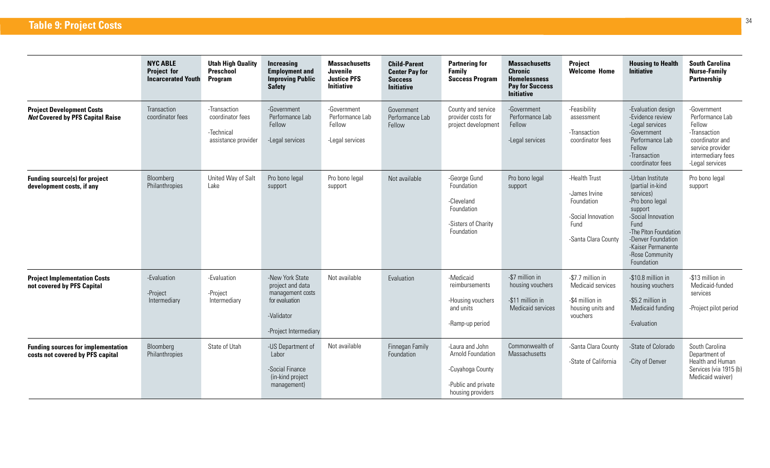|                                                                               | <b>NYC ABLE</b><br><b>Project for</b><br><b>Incarcerated Youth</b> | <b>Utah High Quality</b><br>Preschool<br><b>Program</b>               | <b>Increasing</b><br><b>Employment and</b><br><b>Improving Public</b><br><b>Safety</b>                           | <b>Massachusetts</b><br><b>Juvenile</b><br><b>Justice PFS</b><br><b>Initiative</b> | <b>Child-Parent</b><br><b>Center Pay for</b><br><b>Success</b><br><b>Initiative</b> | <b>Partnering for</b><br>Family<br><b>Success Program</b>                                            | <b>Massachusetts</b><br><b>Chronic</b><br><b>Homelessness</b><br><b>Pay for Success</b><br><b>Initiative</b> | <b>Project</b><br><b>Welcome Home</b>                                                             | <b>Housing to Health</b><br><b>Initiative</b>                                                                                                                                                                       | <b>South Carolina</b><br><b>Nurse-Family</b><br>Partnership                                                                             |
|-------------------------------------------------------------------------------|--------------------------------------------------------------------|-----------------------------------------------------------------------|------------------------------------------------------------------------------------------------------------------|------------------------------------------------------------------------------------|-------------------------------------------------------------------------------------|------------------------------------------------------------------------------------------------------|--------------------------------------------------------------------------------------------------------------|---------------------------------------------------------------------------------------------------|---------------------------------------------------------------------------------------------------------------------------------------------------------------------------------------------------------------------|-----------------------------------------------------------------------------------------------------------------------------------------|
| <b>Project Development Costs</b><br><b>Not Covered by PFS Capital Raise</b>   | Transaction<br>coordinator fees                                    | -Transaction<br>coordinator fees<br>-Technical<br>assistance provider | -Government<br>Performance Lab<br>Fellow<br>-Legal services                                                      | -Government<br>Performance Lab<br>Fellow<br>-Legal services                        | Government<br>Performance Lab<br>Fellow                                             | County and service<br>provider costs for<br>project development                                      | -Government<br>Performance Lab<br>Fellow<br>-Legal services                                                  | -Feasibility<br>assessment<br>-Transaction<br>coordinator fees                                    | -Evaluation design<br>-Evidence review<br>-Legal services<br>-Government<br>Performance Lab<br>Fellow<br>-Transaction<br>coordinator fees                                                                           | -Government<br>Performance Lab<br>Fellow<br>-Transaction<br>coordinator and<br>service provider<br>intermediary fees<br>-Legal services |
| <b>Funding source(s) for project</b><br>development costs, if any             | Bloomberg<br>Philanthropies                                        | United Way of Salt<br>Lake                                            | Pro bono legal<br>support                                                                                        | Pro bono legal<br>support                                                          | Not available                                                                       | -George Gund<br>Foundation<br>-Cleveland<br>Foundation<br>-Sisters of Charity<br>Foundation          | Pro bono legal<br>support                                                                                    | -Health Trust<br>-James Irvine<br>Foundation<br>-Social Innovation<br>Fund<br>-Santa Clara County | -Urban Institute<br>(partial in-kind<br>services)<br>-Pro bono legal<br>support<br>-Social Innovation<br>Fund<br>-The Piton Foundation<br>-Denver Foundation<br>-Kaiser Permanente<br>-Rose Community<br>Foundation | Pro bono legal<br>support                                                                                                               |
| <b>Project Implementation Costs</b><br>not covered by PFS Capital             | -Evaluation<br>-Project<br>Intermediary                            | -Evaluation<br>-Project<br>Intermediary                               | -New York State<br>project and data<br>management costs<br>for evaluation<br>-Validator<br>-Project Intermediary | Not available                                                                      | Evaluation                                                                          | -Medicaid<br>reimbursements<br>-Housing vouchers<br>and units<br>-Ramp-up period                     | -\$7 million in<br>housing vouchers<br>-\$11 million in<br>Medicaid services                                 | -\$7.7 million in<br>Medicaid services<br>-\$4 million in<br>housing units and<br>vouchers        | -\$10.8 million in<br>housing vouchers<br>-\$5.2 million in<br>Medicaid funding<br>-Evaluation                                                                                                                      | -\$13 million in<br>Medicaid-funded<br>services<br>-Project pilot period                                                                |
| <b>Funding sources for implementation</b><br>costs not covered by PFS capital | Bloomberg<br>Philanthropies                                        | State of Utah                                                         | -US Department of<br>Labor<br>-Social Finance<br>(in-kind project<br>management)                                 | Not available                                                                      | Finnegan Family<br>Foundation                                                       | -Laura and John<br>Arnold Foundation<br>-Cuyahoga County<br>-Public and private<br>housing providers | Commonwealth of<br>Massachusetts                                                                             | -Santa Clara County<br>-State of California                                                       | -State of Colorado<br>-City of Denver                                                                                                                                                                               | South Carolina<br>Department of<br>Health and Human<br>Services (via 1915 (b)<br>Medicaid waiver)                                       |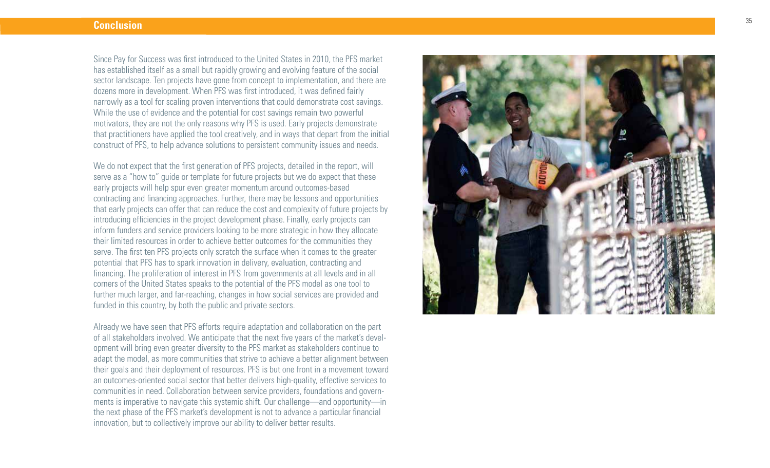### **Conclusion**

Since Pay for Success was first introduced to the United States in 2010, the PFS market has established itself as a small but rapidly growing and evolving feature of the social sector landscape. Ten projects have gone from concept to implementation, and there are dozens more in development. When PFS was first introduced, it was defined fairly narrowly as a tool for scaling proven interventions that could demonstrate cost savings. While the use of evidence and the potential for cost savings remain two powerful motivators, they are not the only reasons why PFS is used. Early projects demonstrate that practitioners have applied the tool creatively, and in ways that depart from the initial construct of PFS, to help advance solutions to persistent community issues and needs.

We do not expect that the first generation of PFS projects, detailed in the report, will serve as a "how to" guide or template for future projects but we do expect that these early projects will help spur even greater momentum around outcomes-based contracting and financing approaches. Further, there may be lessons and opportunities that early projects can offer that can reduce the cost and complexity of future projects by introducing efficiencies in the project development phase. Finally, early projects can inform funders and service providers looking to be more strategic in how they allocate their limited resources in order to achieve better outcomes for the communities they serve. The first ten PFS projects only scratch the surface when it comes to the greater potential that PFS has to spark innovation in delivery, evaluation, contracting and financing. The proliferation of interest in PFS from governments at all levels and in all corners of the United States speaks to the potential of the PFS model as one tool to further much larger, and far-reaching, changes in how social services are provided and funded in this country, by both the public and private sectors.

Already we have seen that PFS efforts require adaptation and collaboration on the part of all stakeholders involved. We anticipate that the next five years of the market's devel opment will bring even greater diversity to the PFS market as stakeholders continue to adapt the model, as more communities that strive to achieve a better alignment between their goals and their deployment of resources. PFS is but one front in a movement toward an outcomes-oriented social sector that better delivers high-quality, effective services to communities in need. Collaboration between service providers, foundations and govern ments is imperative to navigate this systemic shift. Our challenge—and opportunity—in the next phase of the PFS market's development is not to advance a particular financial innovation, but to collectively improve our ability to deliver better results.